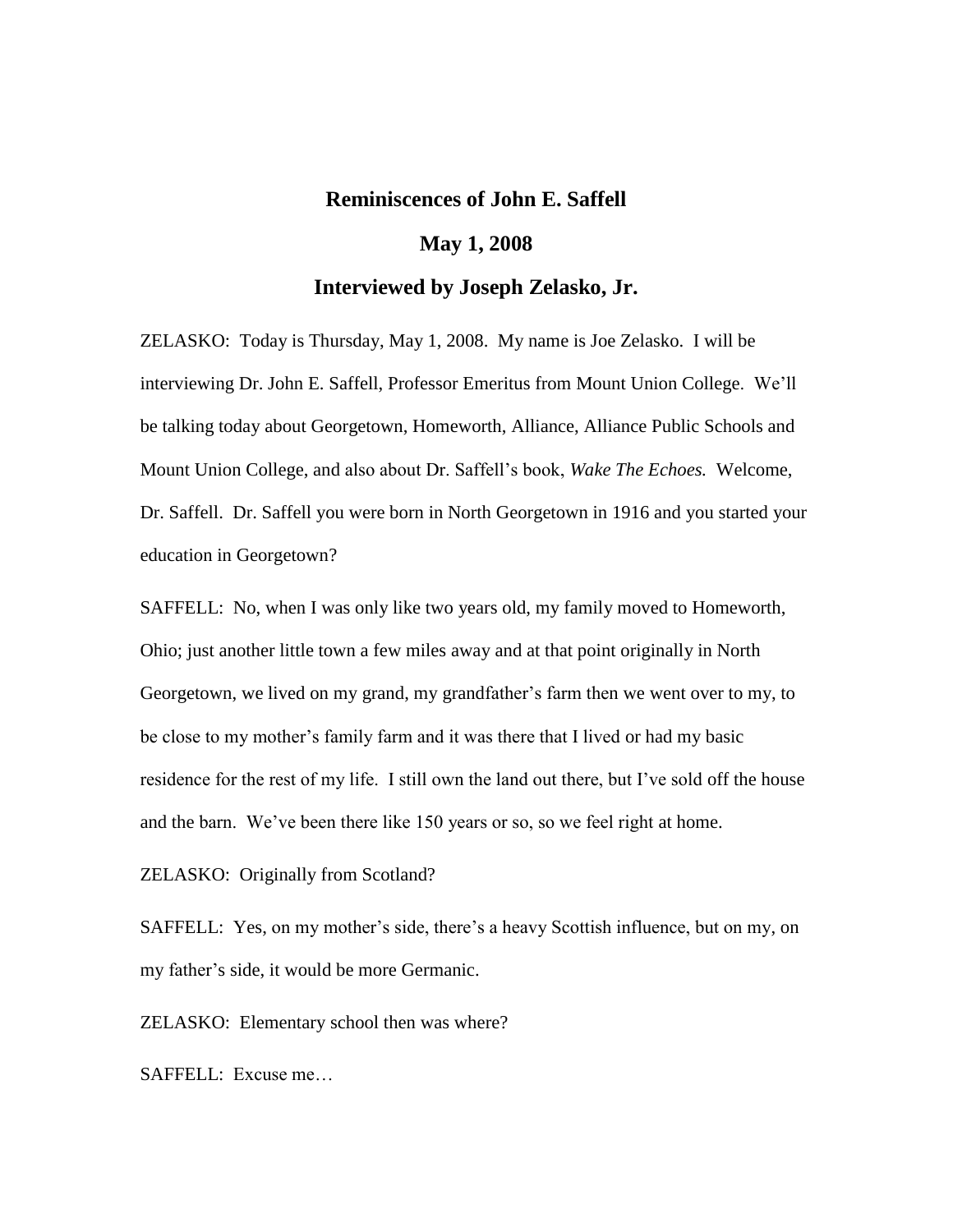# **Reminiscences of John E. Saffell**

### **May 1, 2008**

## **Interviewed by Joseph Zelasko, Jr.**

ZELASKO: Today is Thursday, May 1, 2008. My name is Joe Zelasko. I will be interviewing Dr. John E. Saffell, Professor Emeritus from Mount Union College. We'll be talking today about Georgetown, Homeworth, Alliance, Alliance Public Schools and Mount Union College, and also about Dr. Saffell's book, *Wake The Echoes.* Welcome, Dr. Saffell. Dr. Saffell you were born in North Georgetown in 1916 and you started your education in Georgetown?

SAFFELL: No, when I was only like two years old, my family moved to Homeworth, Ohio; just another little town a few miles away and at that point originally in North Georgetown, we lived on my grand, my grandfather's farm then we went over to my, to be close to my mother's family farm and it was there that I lived or had my basic residence for the rest of my life. I still own the land out there, but I've sold off the house and the barn. We've been there like 150 years or so, so we feel right at home.

ZELASKO: Originally from Scotland?

SAFFELL: Yes, on my mother's side, there's a heavy Scottish influence, but on my, on my father's side, it would be more Germanic.

ZELASKO: Elementary school then was where?

SAFFELL: Excuse me…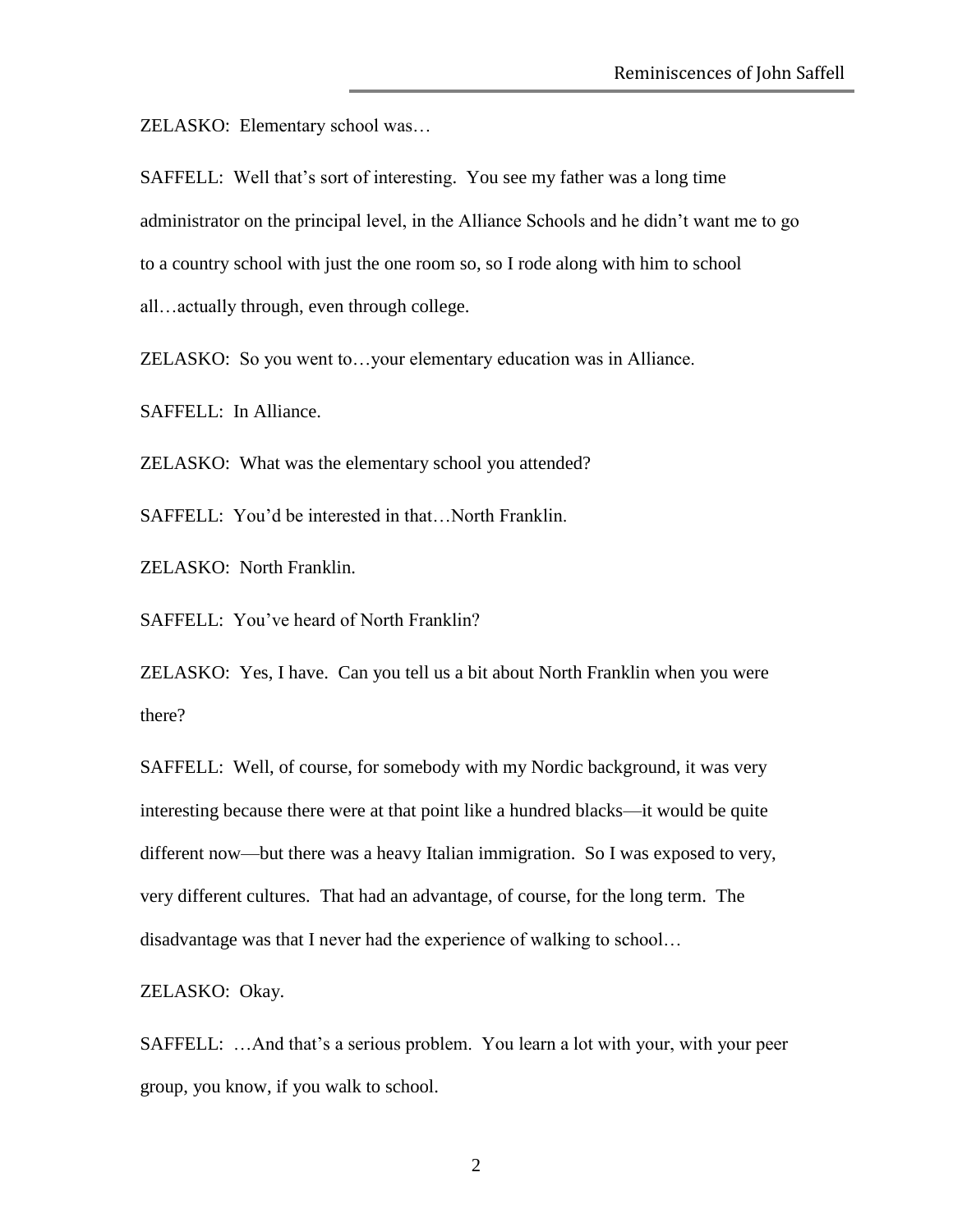ZELASKO: Elementary school was…

SAFFELL: Well that's sort of interesting. You see my father was a long time administrator on the principal level, in the Alliance Schools and he didn't want me to go to a country school with just the one room so, so I rode along with him to school all…actually through, even through college.

ZELASKO: So you went to…your elementary education was in Alliance.

SAFFELL: In Alliance.

ZELASKO: What was the elementary school you attended?

SAFFELL: You'd be interested in that...North Franklin.

ZELASKO: North Franklin.

SAFFELL: You've heard of North Franklin?

ZELASKO: Yes, I have. Can you tell us a bit about North Franklin when you were there?

SAFFELL: Well, of course, for somebody with my Nordic background, it was very interesting because there were at that point like a hundred blacks—it would be quite different now—but there was a heavy Italian immigration. So I was exposed to very, very different cultures. That had an advantage, of course, for the long term. The disadvantage was that I never had the experience of walking to school…

ZELASKO: Okay.

SAFFELL: …And that's a serious problem. You learn a lot with your, with your peer group, you know, if you walk to school.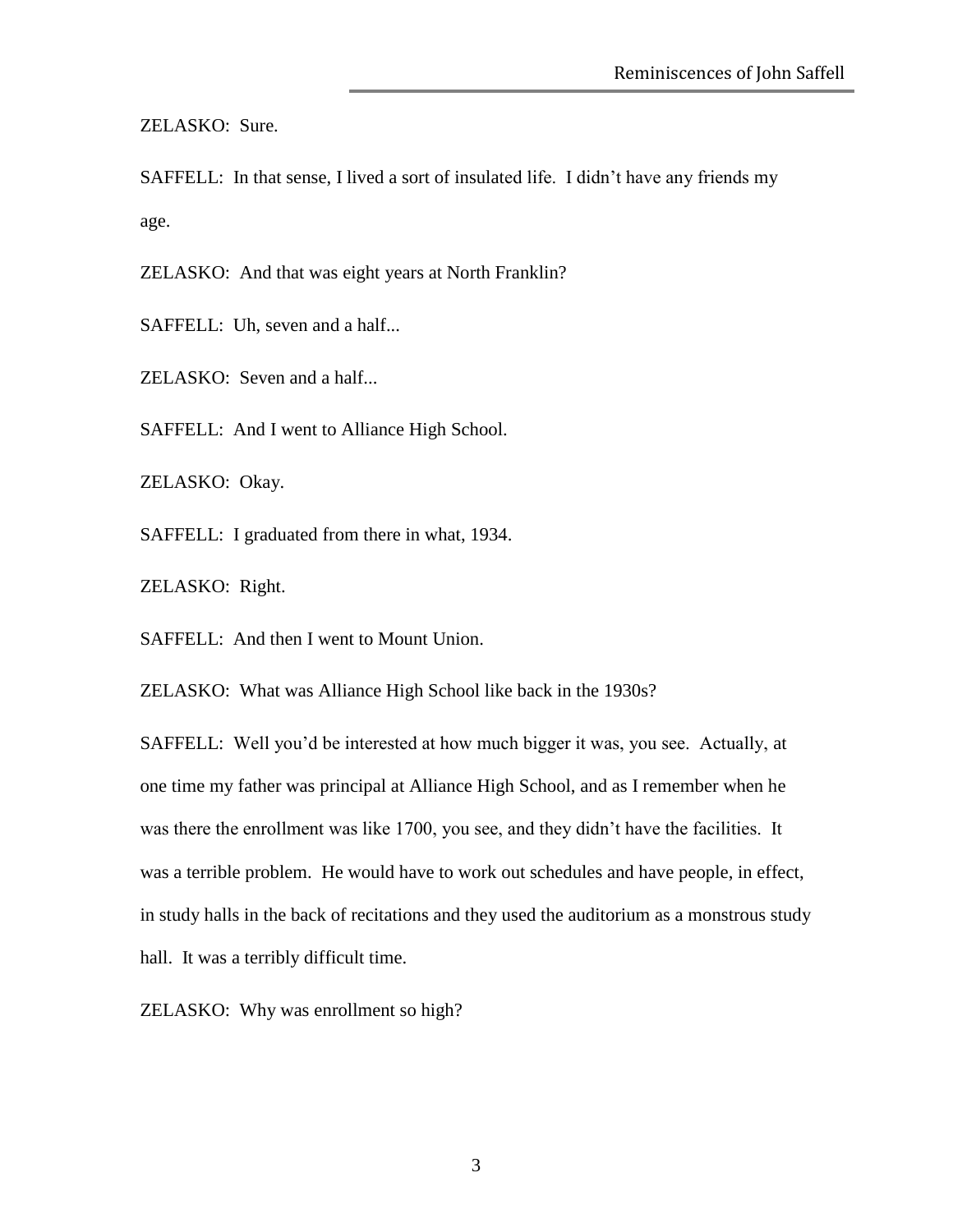ZELASKO: Sure.

SAFFELL: In that sense, I lived a sort of insulated life. I didn't have any friends my age.

ZELASKO: And that was eight years at North Franklin?

SAFFELL: Uh, seven and a half...

ZELASKO: Seven and a half...

SAFFELL: And I went to Alliance High School.

ZELASKO: Okay.

SAFFELL: I graduated from there in what, 1934.

ZELASKO: Right.

SAFFELL: And then I went to Mount Union.

ZELASKO: What was Alliance High School like back in the 1930s?

SAFFELL: Well you'd be interested at how much bigger it was, you see. Actually, at one time my father was principal at Alliance High School, and as I remember when he was there the enrollment was like 1700, you see, and they didn't have the facilities. It was a terrible problem. He would have to work out schedules and have people, in effect, in study halls in the back of recitations and they used the auditorium as a monstrous study hall. It was a terribly difficult time.

ZELASKO: Why was enrollment so high?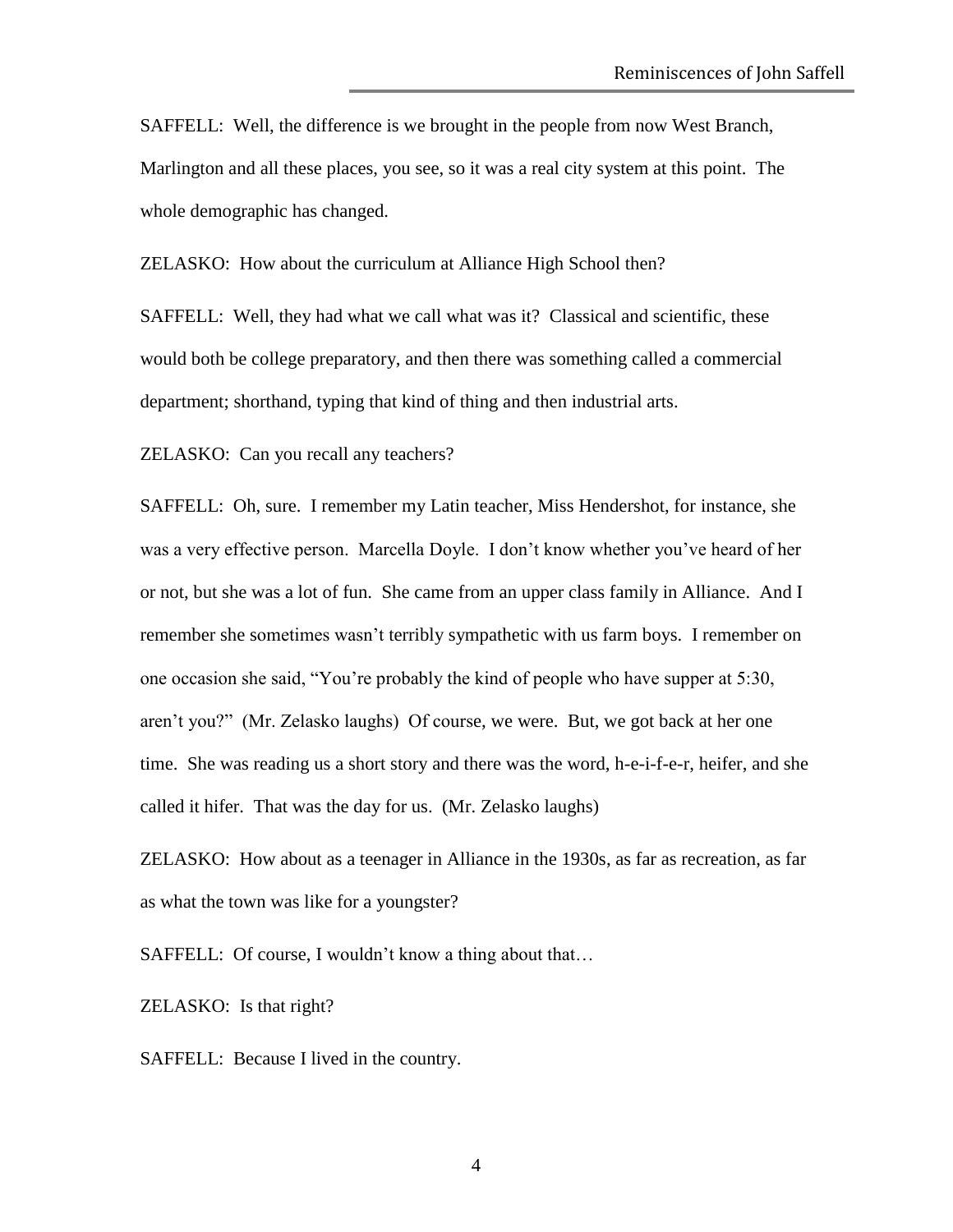SAFFELL: Well, the difference is we brought in the people from now West Branch, Marlington and all these places, you see, so it was a real city system at this point. The whole demographic has changed.

ZELASKO: How about the curriculum at Alliance High School then?

SAFFELL: Well, they had what we call what was it? Classical and scientific, these would both be college preparatory, and then there was something called a commercial department; shorthand, typing that kind of thing and then industrial arts.

ZELASKO: Can you recall any teachers?

SAFFELL: Oh, sure. I remember my Latin teacher, Miss Hendershot, for instance, she was a very effective person. Marcella Doyle. I don't know whether you've heard of her or not, but she was a lot of fun. She came from an upper class family in Alliance. And I remember she sometimes wasn't terribly sympathetic with us farm boys. I remember on one occasion she said, "You're probably the kind of people who have supper at 5:30, aren't you?" (Mr. Zelasko laughs) Of course, we were. But, we got back at her one time. She was reading us a short story and there was the word, h-e-i-f-e-r, heifer, and she called it hifer. That was the day for us. (Mr. Zelasko laughs)

ZELASKO: How about as a teenager in Alliance in the 1930s, as far as recreation, as far as what the town was like for a youngster?

SAFFELL: Of course, I wouldn't know a thing about that...

ZELASKO: Is that right?

SAFFELL: Because I lived in the country.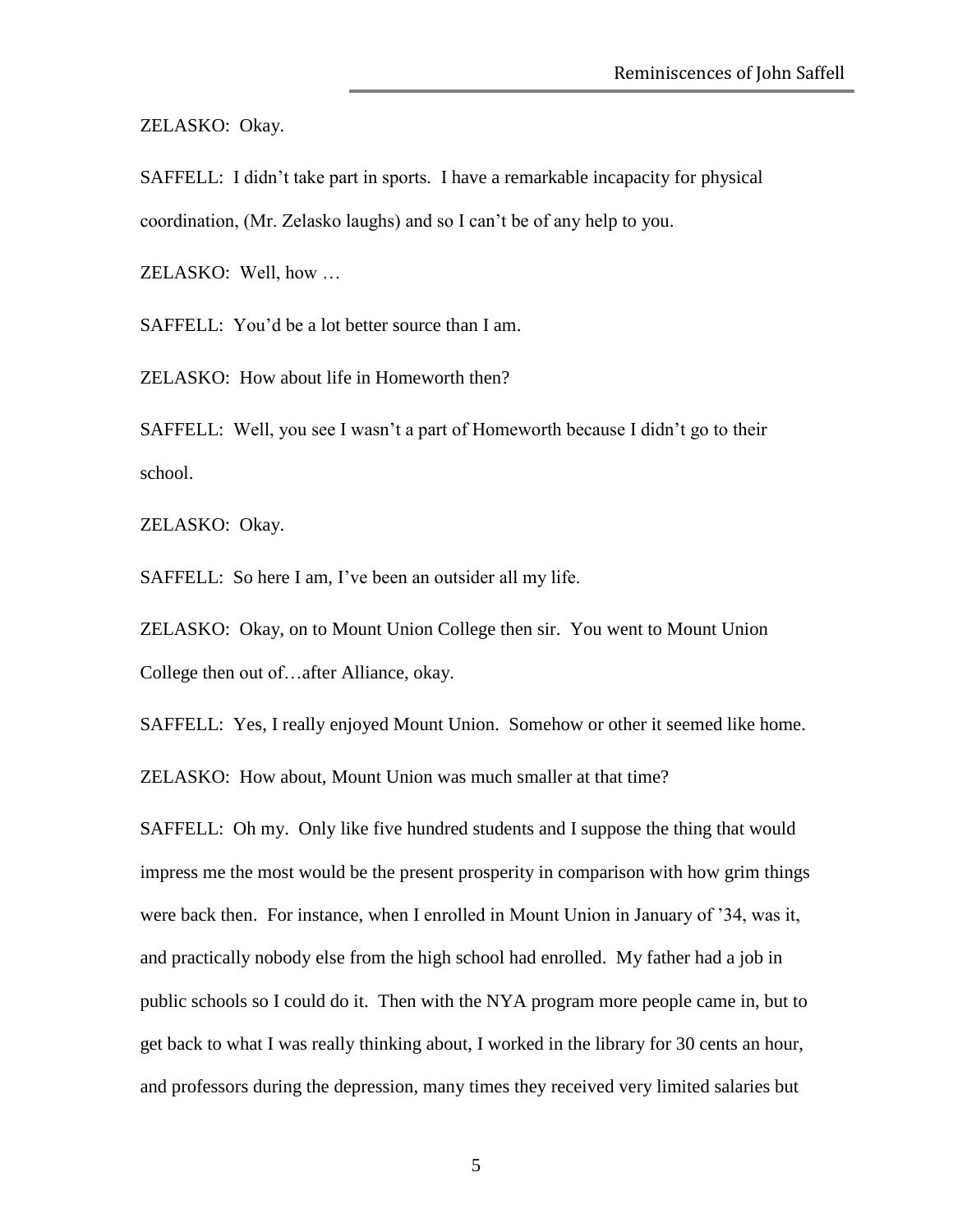ZELASKO: Okay.

SAFFELL: I didn't take part in sports. I have a remarkable incapacity for physical coordination, (Mr. Zelasko laughs) and so I can't be of any help to you.

ZELASKO: Well, how …

SAFFELL: You'd be a lot better source than I am.

ZELASKO: How about life in Homeworth then?

SAFFELL: Well, you see I wasn't a part of Homeworth because I didn't go to their school.

ZELASKO: Okay.

SAFFELL: So here I am, I've been an outsider all my life.

ZELASKO: Okay, on to Mount Union College then sir. You went to Mount Union College then out of…after Alliance, okay.

SAFFELL: Yes, I really enjoyed Mount Union. Somehow or other it seemed like home.

ZELASKO: How about, Mount Union was much smaller at that time?

SAFFELL: Oh my. Only like five hundred students and I suppose the thing that would impress me the most would be the present prosperity in comparison with how grim things were back then. For instance, when I enrolled in Mount Union in January of '34, was it, and practically nobody else from the high school had enrolled. My father had a job in public schools so I could do it. Then with the NYA program more people came in, but to get back to what I was really thinking about, I worked in the library for 30 cents an hour, and professors during the depression, many times they received very limited salaries but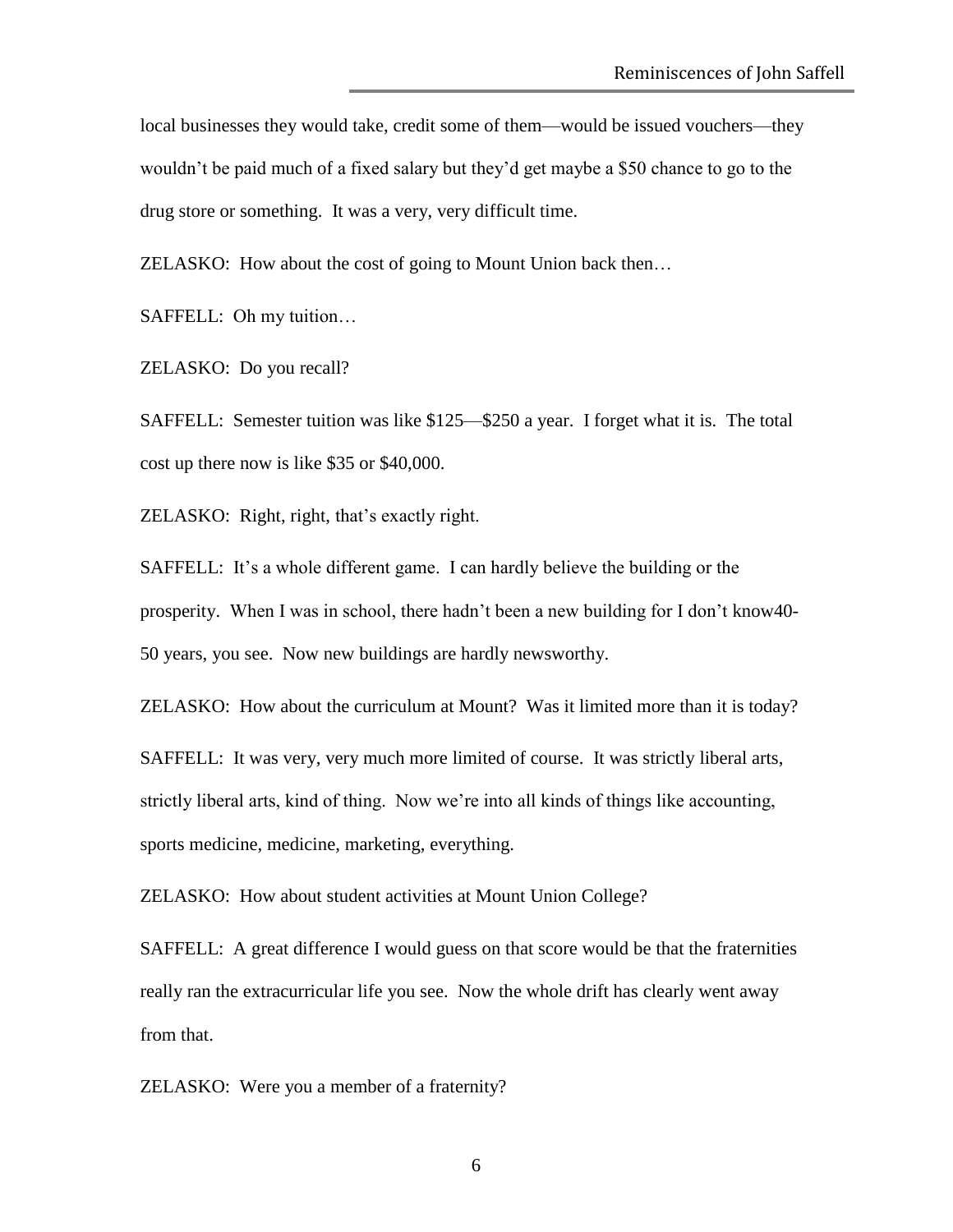local businesses they would take, credit some of them—would be issued vouchers—they wouldn't be paid much of a fixed salary but they'd get maybe a \$50 chance to go to the drug store or something. It was a very, very difficult time.

ZELASKO: How about the cost of going to Mount Union back then…

SAFFELL: Oh my tuition…

ZELASKO: Do you recall?

SAFFELL: Semester tuition was like \$125—\$250 a year. I forget what it is. The total cost up there now is like \$35 or \$40,000.

ZELASKO: Right, right, that's exactly right.

SAFFELL: It's a whole different game. I can hardly believe the building or the prosperity. When I was in school, there hadn't been a new building for I don't know40- 50 years, you see. Now new buildings are hardly newsworthy.

ZELASKO: How about the curriculum at Mount? Was it limited more than it is today?

SAFFELL: It was very, very much more limited of course. It was strictly liberal arts, strictly liberal arts, kind of thing. Now we're into all kinds of things like accounting, sports medicine, medicine, marketing, everything.

ZELASKO: How about student activities at Mount Union College?

SAFFELL: A great difference I would guess on that score would be that the fraternities really ran the extracurricular life you see. Now the whole drift has clearly went away from that.

ZELASKO: Were you a member of a fraternity?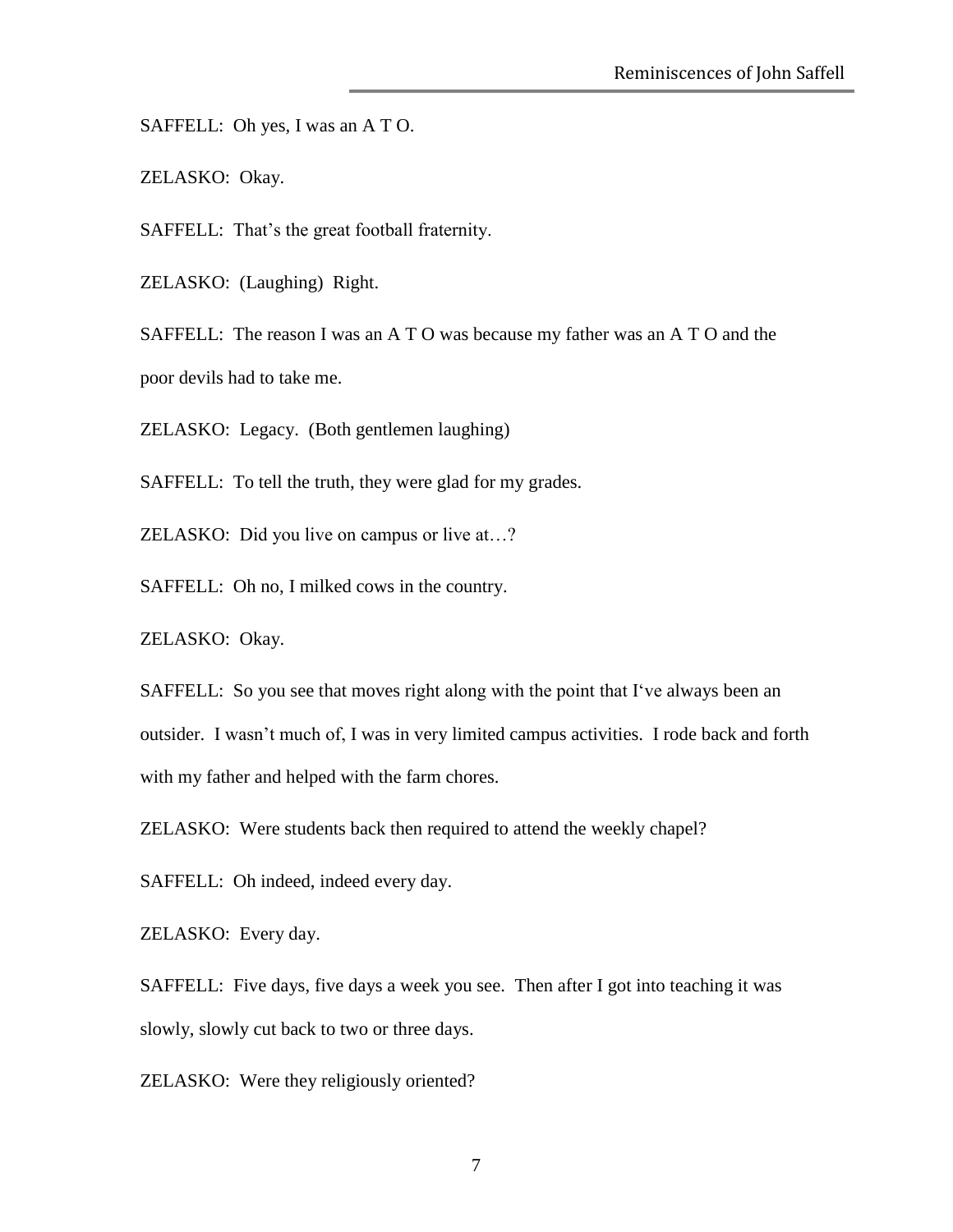SAFFELL: Oh yes, I was an A T O.

ZELASKO: Okay.

SAFFELL: That's the great football fraternity.

ZELASKO: (Laughing) Right.

SAFFELL: The reason I was an A T O was because my father was an A T O and the poor devils had to take me.

ZELASKO: Legacy. (Both gentlemen laughing)

SAFFELL: To tell the truth, they were glad for my grades.

ZELASKO: Did you live on campus or live at…?

SAFFELL: Oh no, I milked cows in the country.

ZELASKO: Okay.

SAFFELL: So you see that moves right along with the point that I've always been an outsider. I wasn't much of, I was in very limited campus activities. I rode back and forth with my father and helped with the farm chores.

ZELASKO: Were students back then required to attend the weekly chapel?

SAFFELL: Oh indeed, indeed every day.

ZELASKO: Every day.

SAFFELL: Five days, five days a week you see. Then after I got into teaching it was slowly, slowly cut back to two or three days.

ZELASKO: Were they religiously oriented?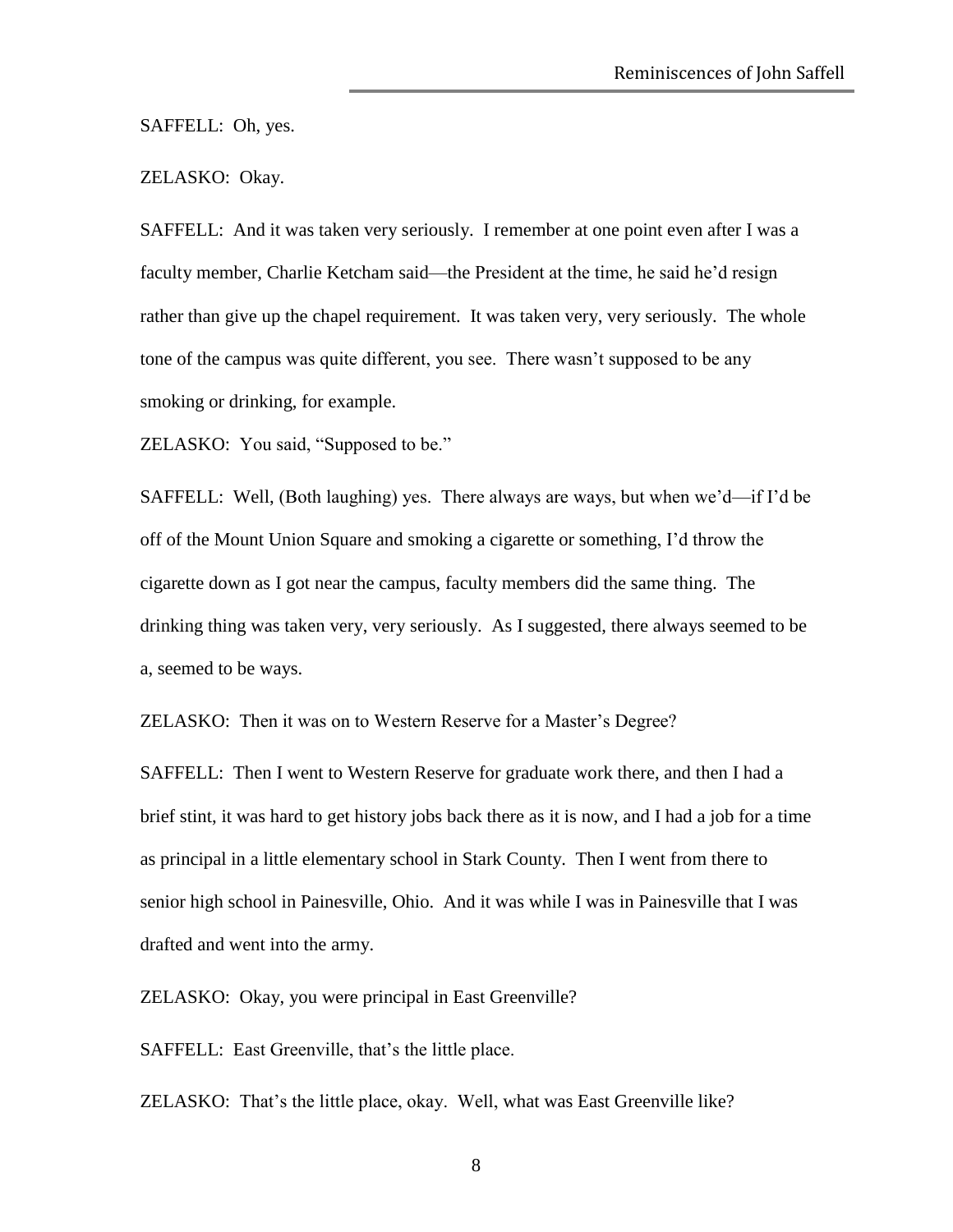SAFFELL: Oh, yes.

## ZELASKO: Okay.

SAFFELL: And it was taken very seriously. I remember at one point even after I was a faculty member, Charlie Ketcham said—the President at the time, he said he'd resign rather than give up the chapel requirement. It was taken very, very seriously. The whole tone of the campus was quite different, you see. There wasn't supposed to be any smoking or drinking, for example.

ZELASKO: You said, "Supposed to be."

SAFFELL: Well, (Both laughing) yes. There always are ways, but when we'd—if I'd be off of the Mount Union Square and smoking a cigarette or something, I'd throw the cigarette down as I got near the campus, faculty members did the same thing. The drinking thing was taken very, very seriously. As I suggested, there always seemed to be a, seemed to be ways.

ZELASKO: Then it was on to Western Reserve for a Master's Degree?

SAFFELL: Then I went to Western Reserve for graduate work there, and then I had a brief stint, it was hard to get history jobs back there as it is now, and I had a job for a time as principal in a little elementary school in Stark County. Then I went from there to senior high school in Painesville, Ohio. And it was while I was in Painesville that I was drafted and went into the army.

ZELASKO: Okay, you were principal in East Greenville?

SAFFELL: East Greenville, that's the little place.

ZELASKO: That's the little place, okay. Well, what was East Greenville like?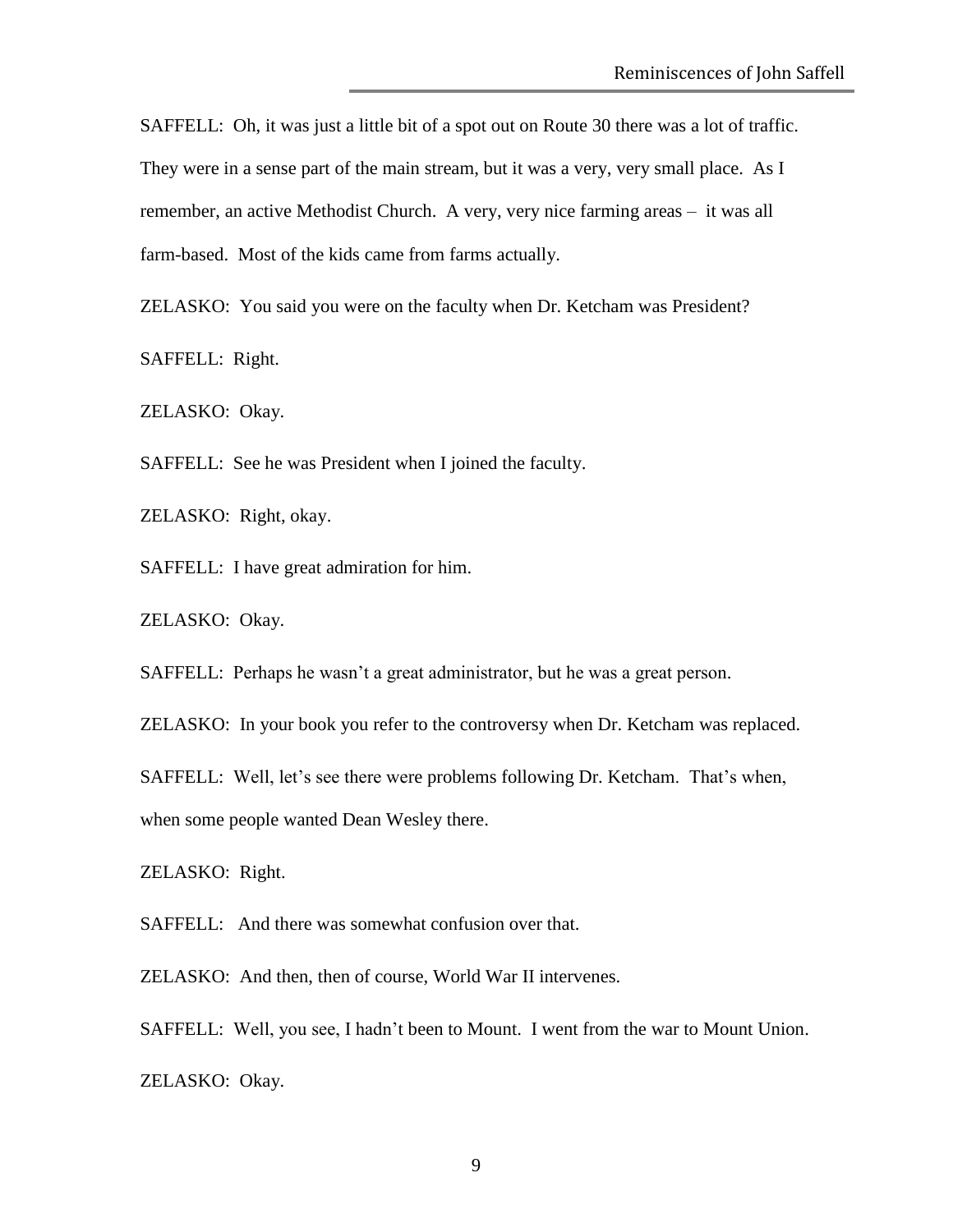SAFFELL: Oh, it was just a little bit of a spot out on Route 30 there was a lot of traffic. They were in a sense part of the main stream, but it was a very, very small place. As I remember, an active Methodist Church. A very, very nice farming areas – it was all farm-based. Most of the kids came from farms actually.

ZELASKO: You said you were on the faculty when Dr. Ketcham was President?

SAFFELL: Right.

ZELASKO: Okay.

SAFFELL: See he was President when I joined the faculty.

ZELASKO: Right, okay.

SAFFELL: I have great admiration for him.

ZELASKO: Okay.

SAFFELL: Perhaps he wasn't a great administrator, but he was a great person.

ZELASKO: In your book you refer to the controversy when Dr. Ketcham was replaced.

SAFFELL: Well, let's see there were problems following Dr. Ketcham. That's when,

when some people wanted Dean Wesley there.

ZELASKO: Right.

SAFFELL: And there was somewhat confusion over that.

ZELASKO: And then, then of course, World War II intervenes.

SAFFELL: Well, you see, I hadn't been to Mount. I went from the war to Mount Union.

ZELASKO: Okay.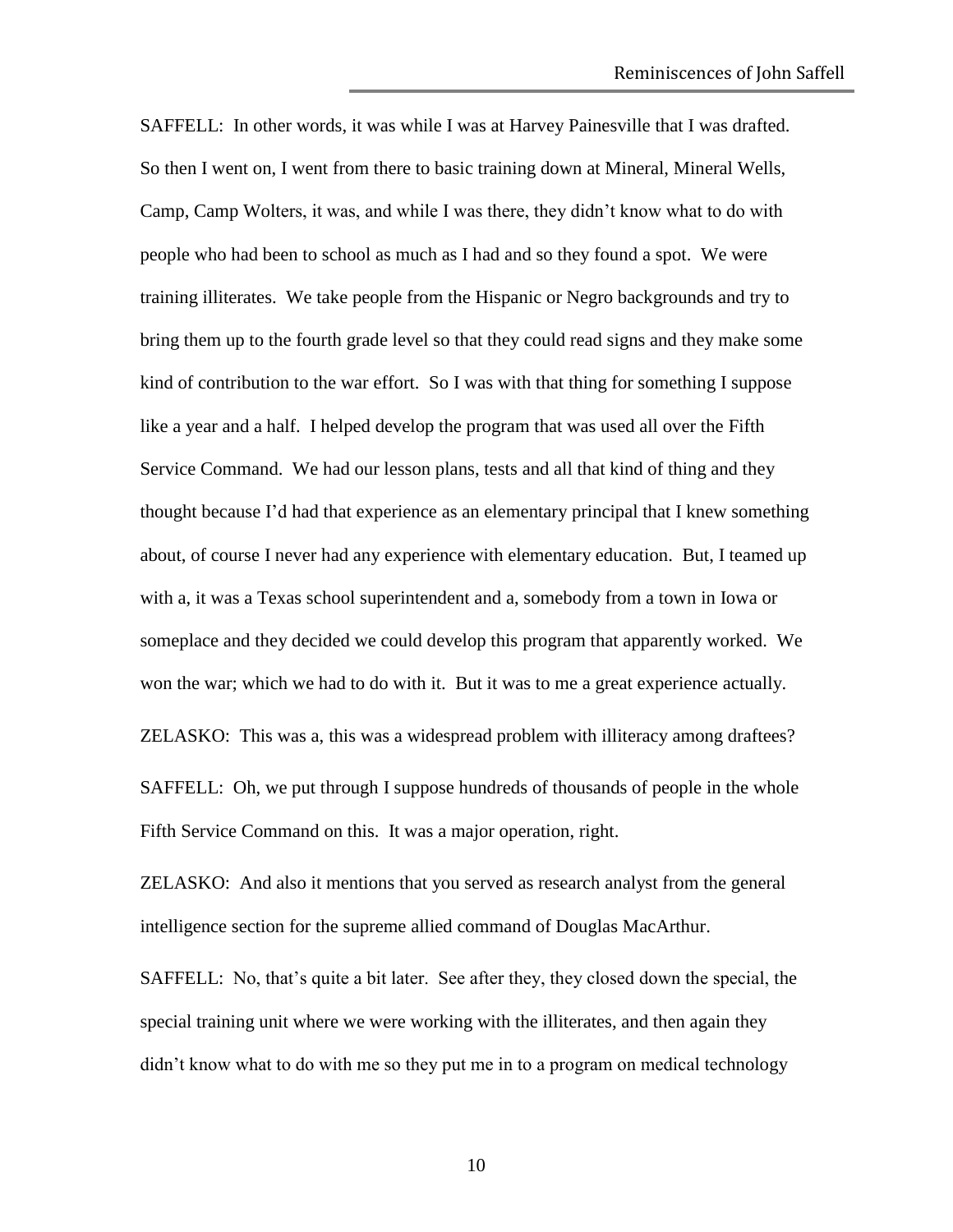SAFFELL: In other words, it was while I was at Harvey Painesville that I was drafted. So then I went on, I went from there to basic training down at Mineral, Mineral Wells, Camp, Camp Wolters, it was, and while I was there, they didn't know what to do with people who had been to school as much as I had and so they found a spot. We were training illiterates. We take people from the Hispanic or Negro backgrounds and try to bring them up to the fourth grade level so that they could read signs and they make some kind of contribution to the war effort. So I was with that thing for something I suppose like a year and a half. I helped develop the program that was used all over the Fifth Service Command. We had our lesson plans, tests and all that kind of thing and they thought because I'd had that experience as an elementary principal that I knew something about, of course I never had any experience with elementary education. But, I teamed up with a, it was a Texas school superintendent and a, somebody from a town in Iowa or someplace and they decided we could develop this program that apparently worked. We won the war; which we had to do with it. But it was to me a great experience actually. ZELASKO: This was a, this was a widespread problem with illiteracy among draftees? SAFFELL: Oh, we put through I suppose hundreds of thousands of people in the whole

Fifth Service Command on this. It was a major operation, right.

ZELASKO: And also it mentions that you served as research analyst from the general intelligence section for the supreme allied command of Douglas MacArthur.

SAFFELL: No, that's quite a bit later. See after they, they closed down the special, the special training unit where we were working with the illiterates, and then again they didn't know what to do with me so they put me in to a program on medical technology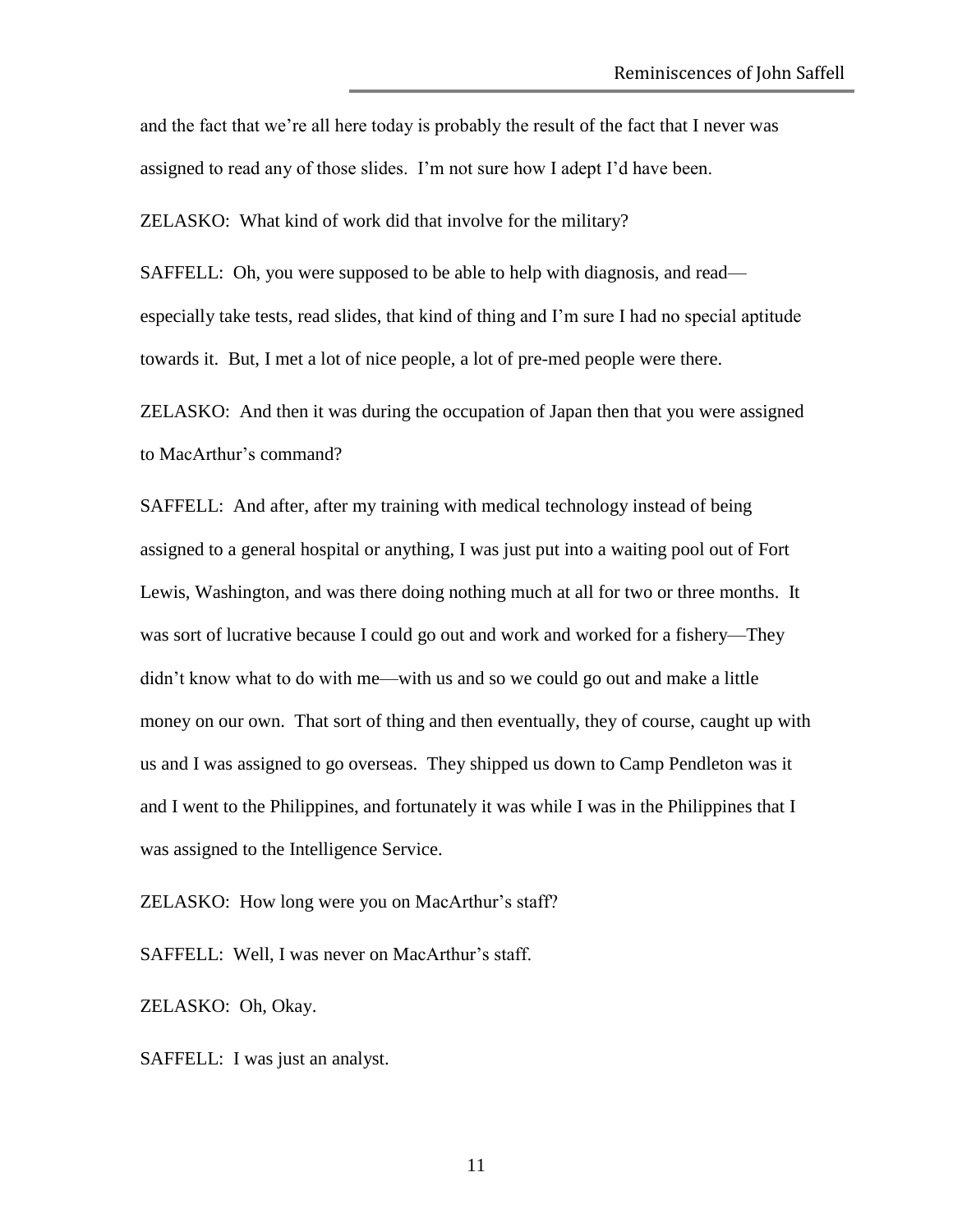and the fact that we're all here today is probably the result of the fact that I never was assigned to read any of those slides. I'm not sure how I adept I'd have been.

ZELASKO: What kind of work did that involve for the military?

SAFFELL: Oh, you were supposed to be able to help with diagnosis, and read especially take tests, read slides, that kind of thing and I'm sure I had no special aptitude towards it. But, I met a lot of nice people, a lot of pre-med people were there.

ZELASKO: And then it was during the occupation of Japan then that you were assigned to MacArthur's command?

SAFFELL: And after, after my training with medical technology instead of being assigned to a general hospital or anything, I was just put into a waiting pool out of Fort Lewis, Washington, and was there doing nothing much at all for two or three months. It was sort of lucrative because I could go out and work and worked for a fishery—They didn't know what to do with me—with us and so we could go out and make a little money on our own. That sort of thing and then eventually, they of course, caught up with us and I was assigned to go overseas. They shipped us down to Camp Pendleton was it and I went to the Philippines, and fortunately it was while I was in the Philippines that I was assigned to the Intelligence Service.

ZELASKO: How long were you on MacArthur's staff?

SAFFELL: Well, I was never on MacArthur's staff.

ZELASKO: Oh, Okay.

SAFFELL: I was just an analyst.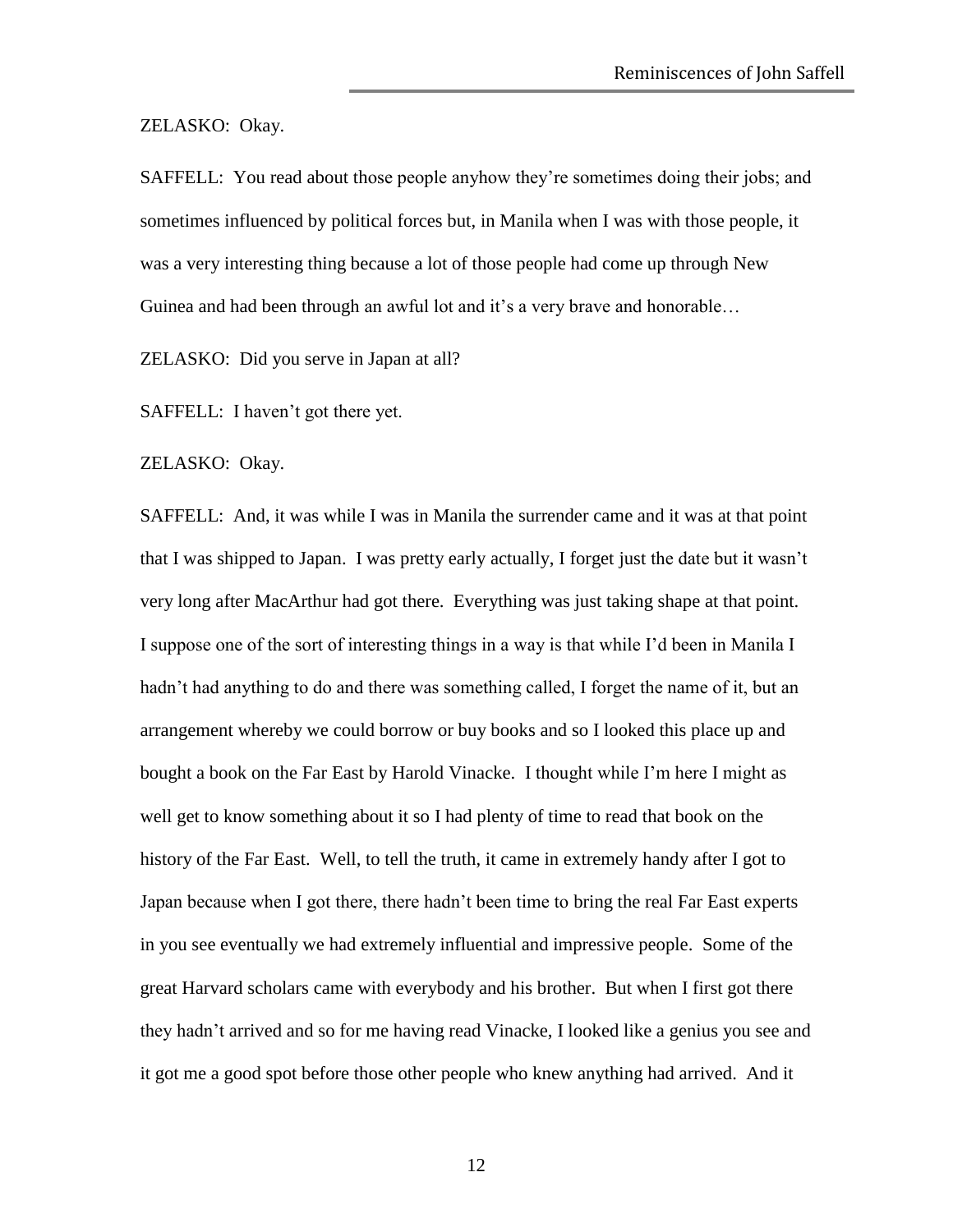ZELASKO: Okay.

SAFFELL: You read about those people anyhow they're sometimes doing their jobs; and sometimes influenced by political forces but, in Manila when I was with those people, it was a very interesting thing because a lot of those people had come up through New Guinea and had been through an awful lot and it's a very brave and honorable…

ZELASKO: Did you serve in Japan at all?

SAFFELL: I haven't got there yet.

ZELASKO: Okay.

SAFFELL: And, it was while I was in Manila the surrender came and it was at that point that I was shipped to Japan. I was pretty early actually, I forget just the date but it wasn't very long after MacArthur had got there. Everything was just taking shape at that point. I suppose one of the sort of interesting things in a way is that while I'd been in Manila I hadn't had anything to do and there was something called, I forget the name of it, but an arrangement whereby we could borrow or buy books and so I looked this place up and bought a book on the Far East by Harold Vinacke. I thought while I'm here I might as well get to know something about it so I had plenty of time to read that book on the history of the Far East. Well, to tell the truth, it came in extremely handy after I got to Japan because when I got there, there hadn't been time to bring the real Far East experts in you see eventually we had extremely influential and impressive people. Some of the great Harvard scholars came with everybody and his brother. But when I first got there they hadn't arrived and so for me having read Vinacke, I looked like a genius you see and it got me a good spot before those other people who knew anything had arrived. And it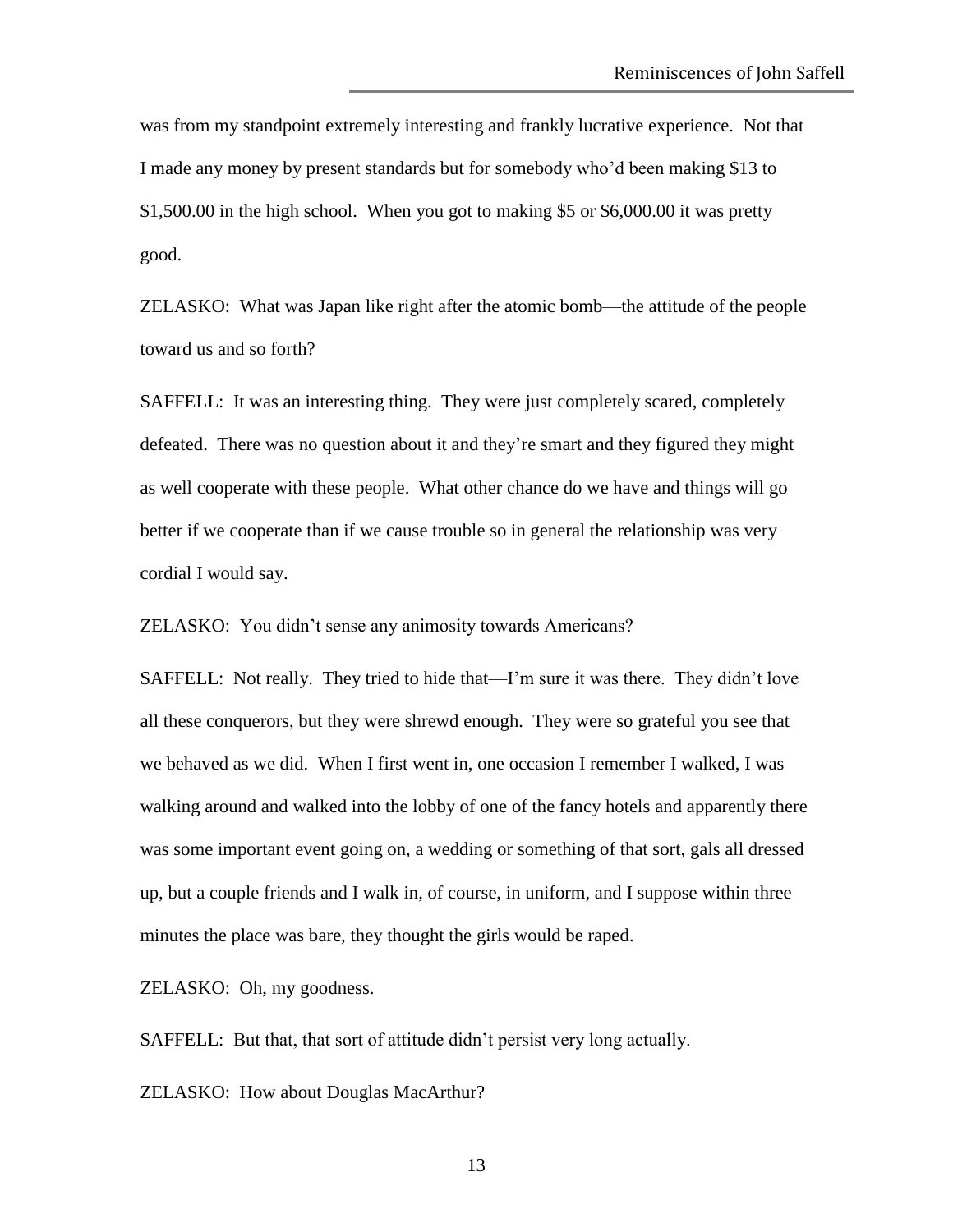was from my standpoint extremely interesting and frankly lucrative experience. Not that I made any money by present standards but for somebody who'd been making \$13 to \$1,500.00 in the high school. When you got to making \$5 or \$6,000.00 it was pretty good.

ZELASKO: What was Japan like right after the atomic bomb—the attitude of the people toward us and so forth?

SAFFELL: It was an interesting thing. They were just completely scared, completely defeated. There was no question about it and they're smart and they figured they might as well cooperate with these people. What other chance do we have and things will go better if we cooperate than if we cause trouble so in general the relationship was very cordial I would say.

ZELASKO: You didn't sense any animosity towards Americans?

SAFFELL: Not really. They tried to hide that—I'm sure it was there. They didn't love all these conquerors, but they were shrewd enough. They were so grateful you see that we behaved as we did. When I first went in, one occasion I remember I walked, I was walking around and walked into the lobby of one of the fancy hotels and apparently there was some important event going on, a wedding or something of that sort, gals all dressed up, but a couple friends and I walk in, of course, in uniform, and I suppose within three minutes the place was bare, they thought the girls would be raped.

ZELASKO: Oh, my goodness.

SAFFELL: But that, that sort of attitude didn't persist very long actually.

ZELASKO: How about Douglas MacArthur?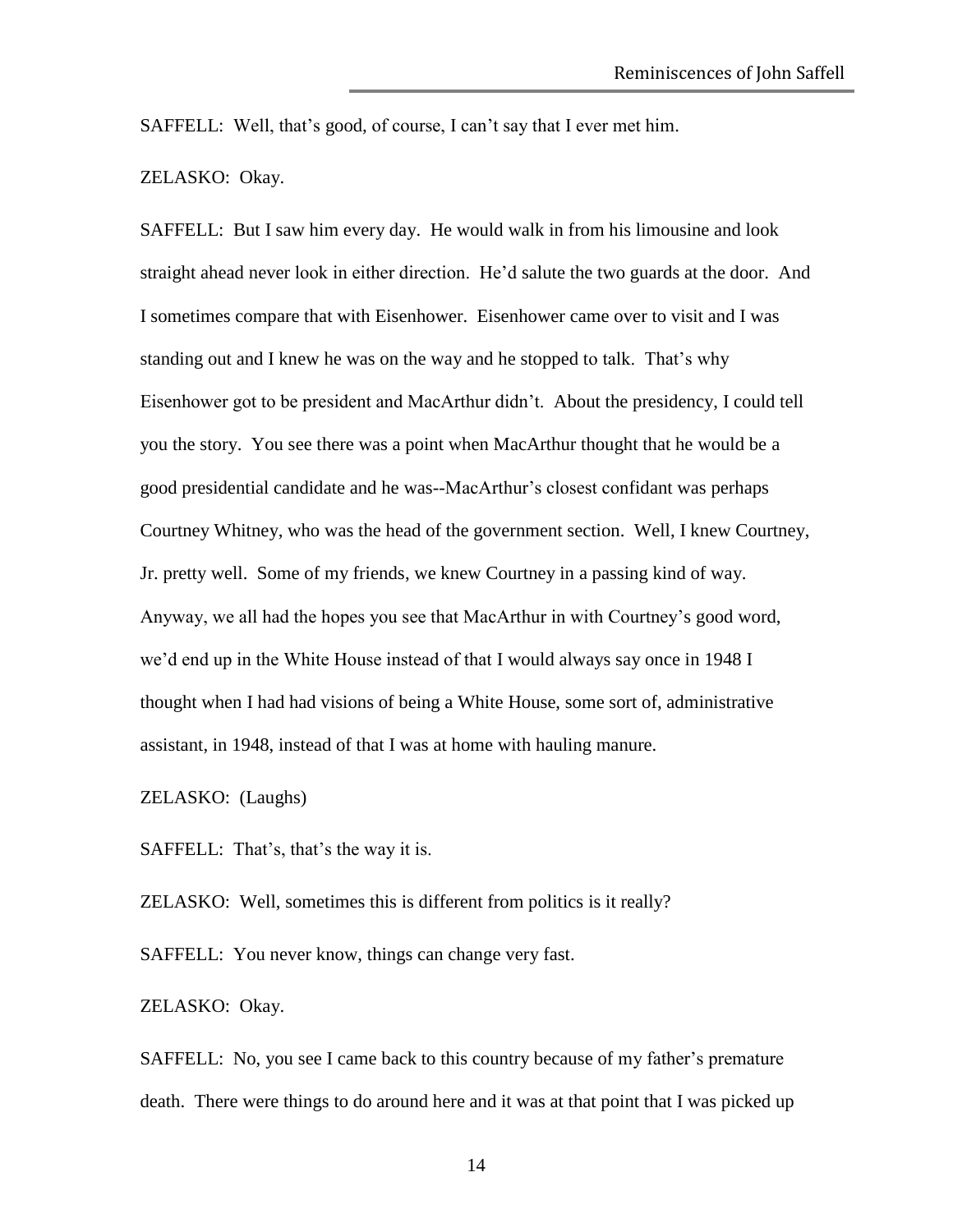SAFFELL: Well, that's good, of course, I can't say that I ever met him.

ZELASKO: Okay.

SAFFELL: But I saw him every day. He would walk in from his limousine and look straight ahead never look in either direction. He'd salute the two guards at the door. And I sometimes compare that with Eisenhower. Eisenhower came over to visit and I was standing out and I knew he was on the way and he stopped to talk. That's why Eisenhower got to be president and MacArthur didn't. About the presidency, I could tell you the story. You see there was a point when MacArthur thought that he would be a good presidential candidate and he was--MacArthur's closest confidant was perhaps Courtney Whitney, who was the head of the government section. Well, I knew Courtney, Jr. pretty well. Some of my friends, we knew Courtney in a passing kind of way. Anyway, we all had the hopes you see that MacArthur in with Courtney's good word, we'd end up in the White House instead of that I would always say once in 1948 I thought when I had had visions of being a White House, some sort of, administrative assistant, in 1948, instead of that I was at home with hauling manure.

ZELASKO: (Laughs)

SAFFELL: That's, that's the way it is.

ZELASKO: Well, sometimes this is different from politics is it really?

SAFFELL: You never know, things can change very fast.

ZELASKO: Okay.

SAFFELL: No, you see I came back to this country because of my father's premature death. There were things to do around here and it was at that point that I was picked up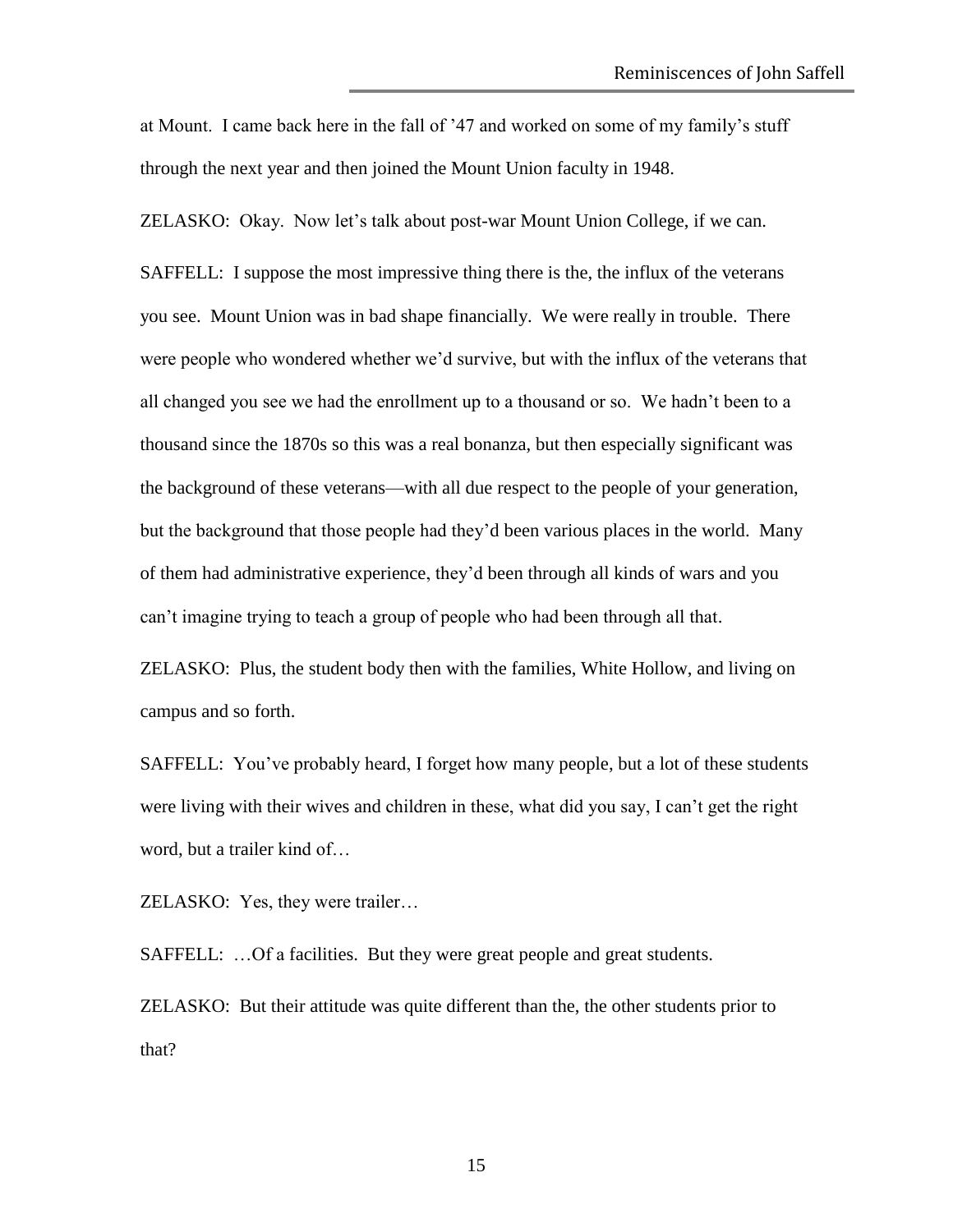at Mount. I came back here in the fall of '47 and worked on some of my family's stuff through the next year and then joined the Mount Union faculty in 1948.

ZELASKO: Okay. Now let's talk about post-war Mount Union College, if we can.

SAFFELL: I suppose the most impressive thing there is the, the influx of the veterans you see. Mount Union was in bad shape financially. We were really in trouble. There were people who wondered whether we'd survive, but with the influx of the veterans that all changed you see we had the enrollment up to a thousand or so. We hadn't been to a thousand since the 1870s so this was a real bonanza, but then especially significant was the background of these veterans—with all due respect to the people of your generation, but the background that those people had they'd been various places in the world. Many of them had administrative experience, they'd been through all kinds of wars and you can't imagine trying to teach a group of people who had been through all that.

ZELASKO: Plus, the student body then with the families, White Hollow, and living on campus and so forth.

SAFFELL: You've probably heard, I forget how many people, but a lot of these students were living with their wives and children in these, what did you say, I can't get the right word, but a trailer kind of…

ZELASKO: Yes, they were trailer…

SAFFELL: …Of a facilities. But they were great people and great students.

ZELASKO: But their attitude was quite different than the, the other students prior to that?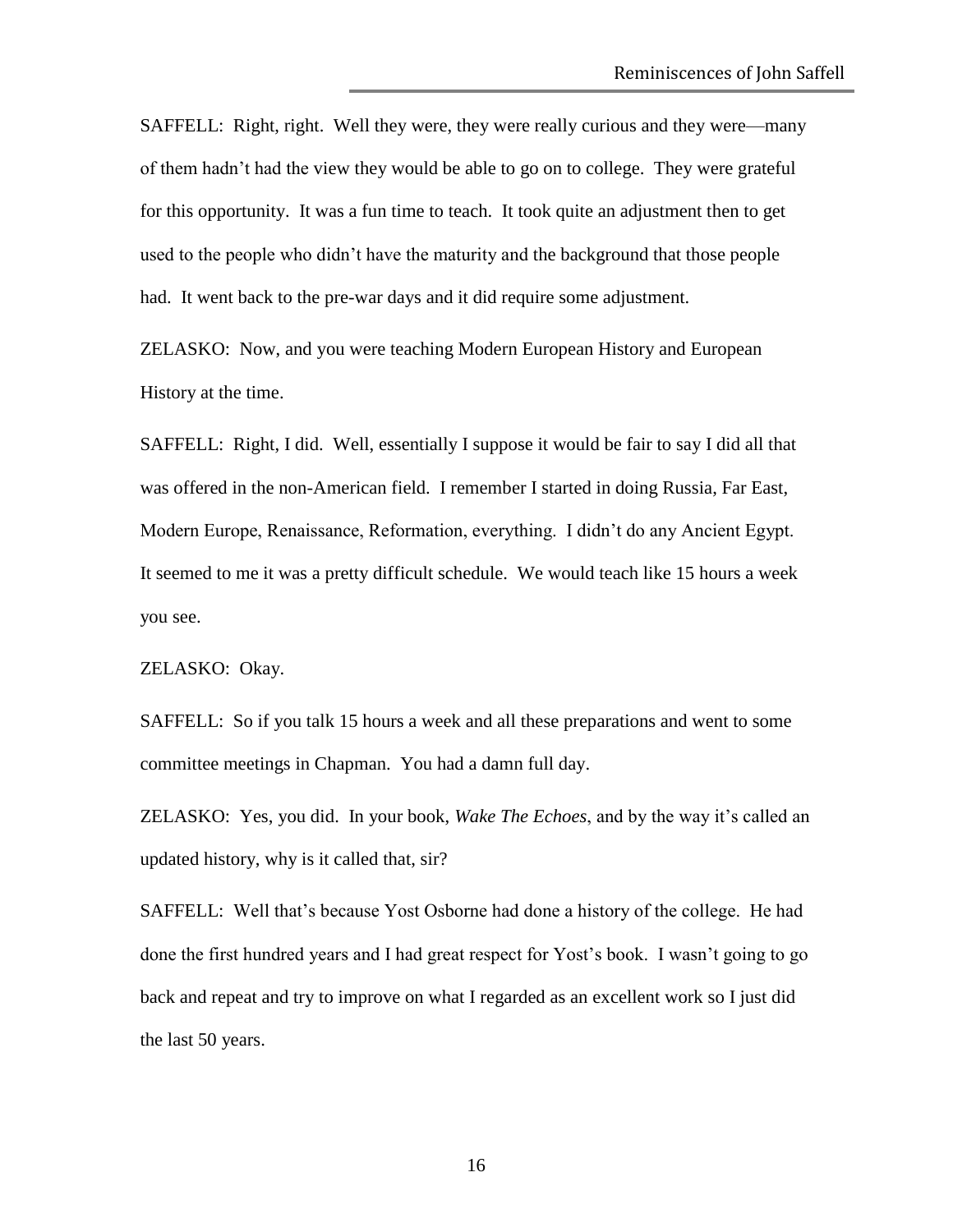SAFFELL: Right, right. Well they were, they were really curious and they were—many of them hadn't had the view they would be able to go on to college. They were grateful for this opportunity. It was a fun time to teach. It took quite an adjustment then to get used to the people who didn't have the maturity and the background that those people had. It went back to the pre-war days and it did require some adjustment.

ZELASKO: Now, and you were teaching Modern European History and European History at the time.

SAFFELL: Right, I did. Well, essentially I suppose it would be fair to say I did all that was offered in the non-American field. I remember I started in doing Russia, Far East, Modern Europe, Renaissance, Reformation, everything. I didn't do any Ancient Egypt. It seemed to me it was a pretty difficult schedule. We would teach like 15 hours a week you see.

ZELASKO: Okay.

SAFFELL: So if you talk 15 hours a week and all these preparations and went to some committee meetings in Chapman. You had a damn full day.

ZELASKO: Yes, you did. In your book, *Wake The Echoes*, and by the way it's called an updated history, why is it called that, sir?

SAFFELL: Well that's because Yost Osborne had done a history of the college. He had done the first hundred years and I had great respect for Yost's book. I wasn't going to go back and repeat and try to improve on what I regarded as an excellent work so I just did the last 50 years.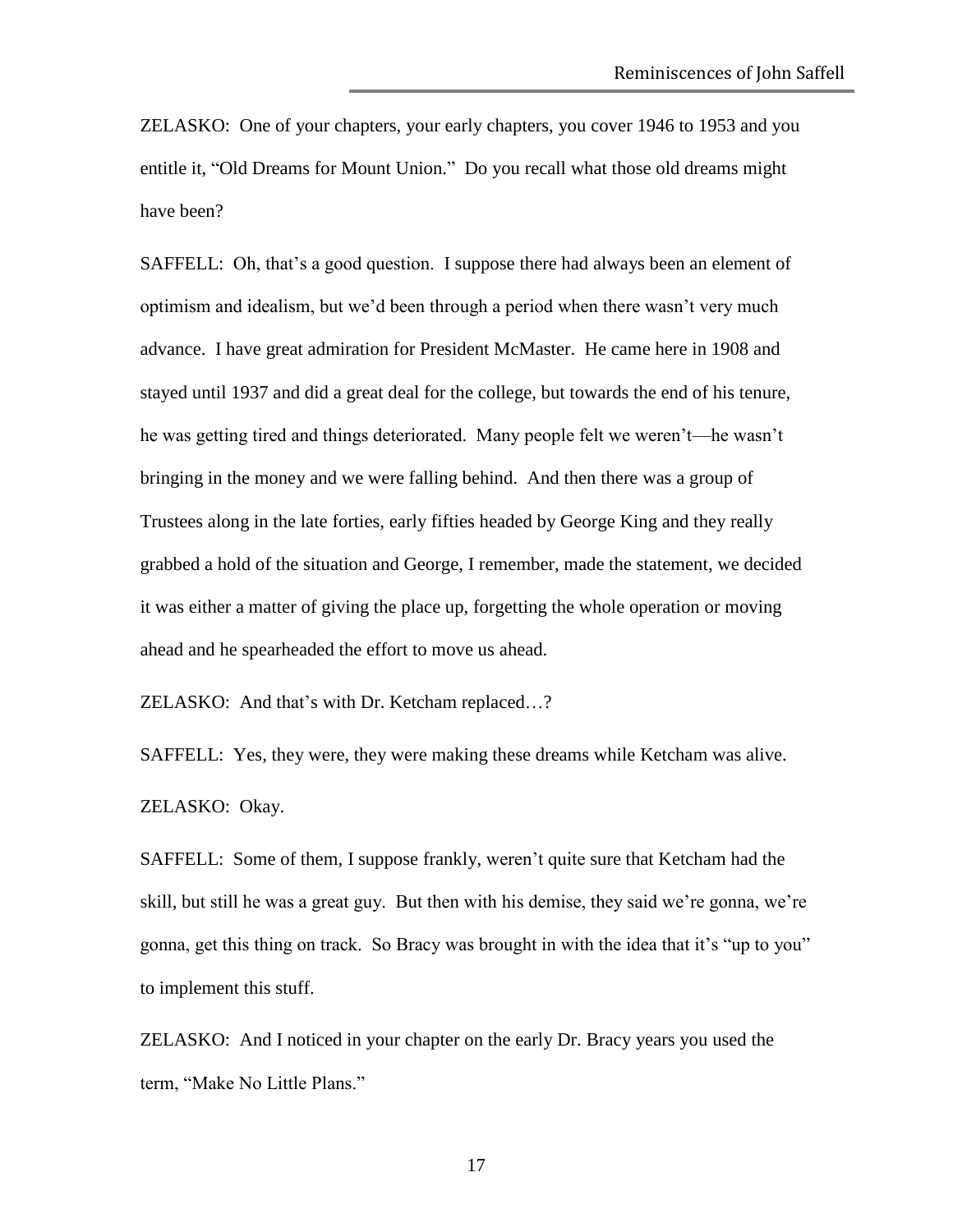ZELASKO: One of your chapters, your early chapters, you cover 1946 to 1953 and you entitle it, "Old Dreams for Mount Union." Do you recall what those old dreams might have been?

SAFFELL: Oh, that's a good question. I suppose there had always been an element of optimism and idealism, but we'd been through a period when there wasn't very much advance. I have great admiration for President McMaster. He came here in 1908 and stayed until 1937 and did a great deal for the college, but towards the end of his tenure, he was getting tired and things deteriorated. Many people felt we weren't—he wasn't bringing in the money and we were falling behind. And then there was a group of Trustees along in the late forties, early fifties headed by George King and they really grabbed a hold of the situation and George, I remember, made the statement, we decided it was either a matter of giving the place up, forgetting the whole operation or moving ahead and he spearheaded the effort to move us ahead.

ZELASKO: And that's with Dr. Ketcham replaced…?

SAFFELL: Yes, they were, they were making these dreams while Ketcham was alive. ZELASKO: Okay.

SAFFELL: Some of them, I suppose frankly, weren't quite sure that Ketcham had the skill, but still he was a great guy. But then with his demise, they said we're gonna, we're gonna, get this thing on track. So Bracy was brought in with the idea that it's "up to you" to implement this stuff.

ZELASKO: And I noticed in your chapter on the early Dr. Bracy years you used the term, "Make No Little Plans."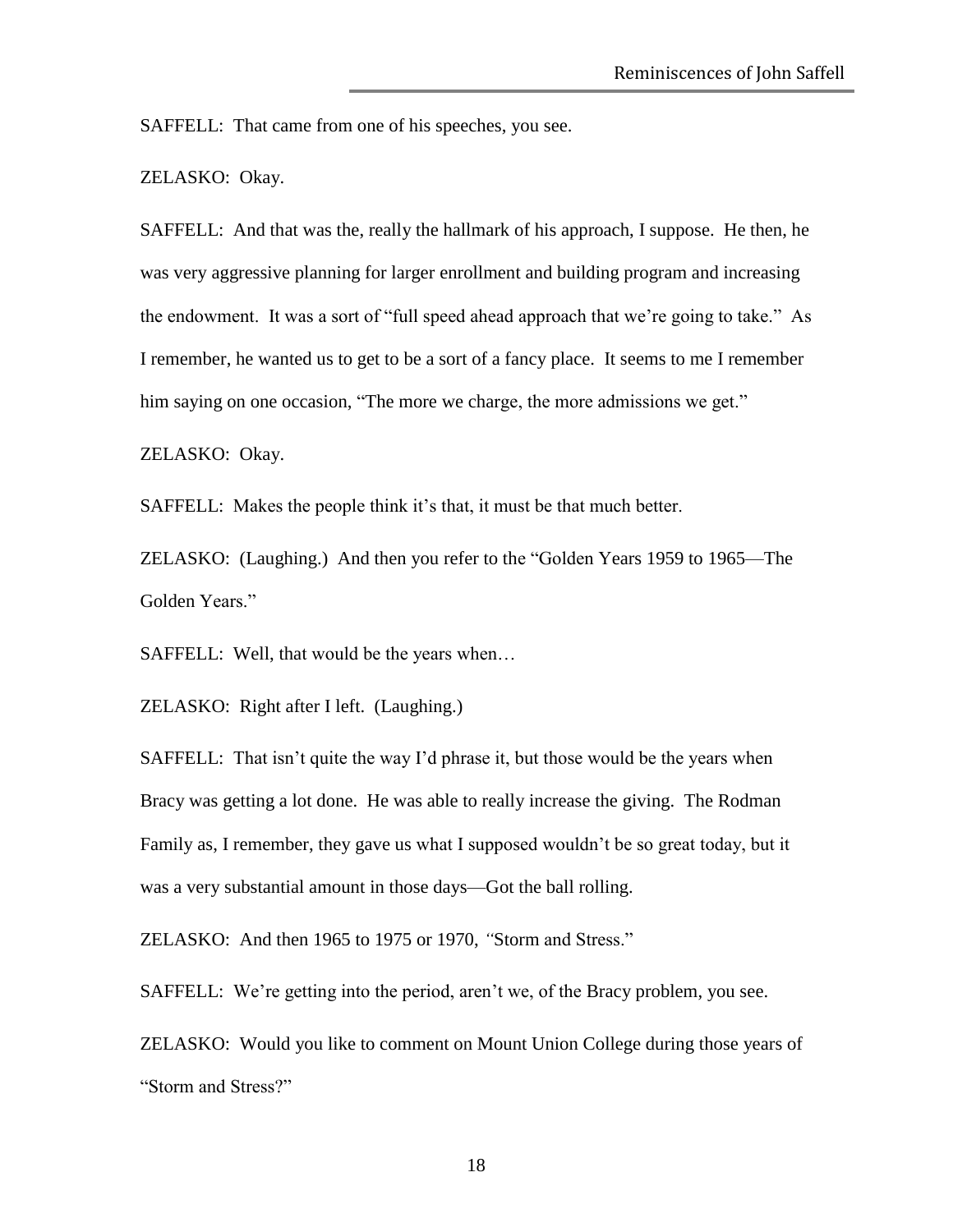SAFFELL: That came from one of his speeches, you see.

ZELASKO: Okay.

SAFFELL: And that was the, really the hallmark of his approach, I suppose. He then, he was very aggressive planning for larger enrollment and building program and increasing the endowment. It was a sort of "full speed ahead approach that we're going to take." As I remember, he wanted us to get to be a sort of a fancy place. It seems to me I remember him saying on one occasion, "The more we charge, the more admissions we get."

ZELASKO: Okay.

SAFFELL: Makes the people think it's that, it must be that much better.

ZELASKO: (Laughing.) And then you refer to the "Golden Years 1959 to 1965—The Golden Years."

SAFFELL: Well, that would be the years when…

ZELASKO: Right after I left. (Laughing.)

SAFFELL: That isn't quite the way I'd phrase it, but those would be the years when Bracy was getting a lot done. He was able to really increase the giving. The Rodman Family as, I remember, they gave us what I supposed wouldn't be so great today, but it was a very substantial amount in those days—Got the ball rolling.

ZELASKO: And then 1965 to 1975 or 1970, *"*Storm and Stress."

SAFFELL: We're getting into the period, aren't we, of the Bracy problem, you see.

ZELASKO: Would you like to comment on Mount Union College during those years of "Storm and Stress?"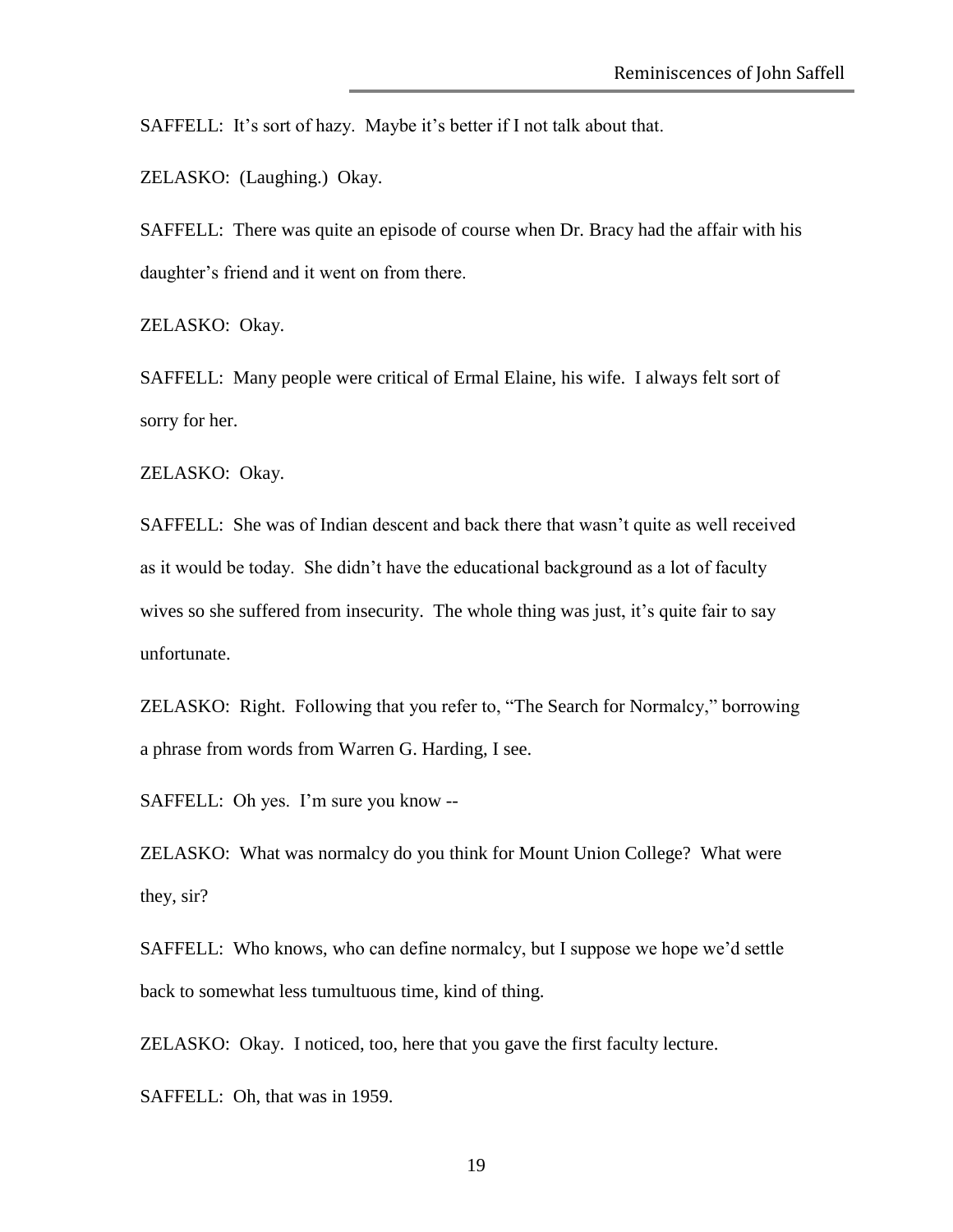SAFFELL: It's sort of hazy. Maybe it's better if I not talk about that.

ZELASKO: (Laughing.) Okay.

SAFFELL: There was quite an episode of course when Dr. Bracy had the affair with his daughter's friend and it went on from there.

ZELASKO: Okay.

SAFFELL: Many people were critical of Ermal Elaine, his wife. I always felt sort of sorry for her.

ZELASKO: Okay.

SAFFELL: She was of Indian descent and back there that wasn't quite as well received as it would be today. She didn't have the educational background as a lot of faculty wives so she suffered from insecurity. The whole thing was just, it's quite fair to say unfortunate.

ZELASKO: Right. Following that you refer to, "The Search for Normalcy," borrowing a phrase from words from Warren G. Harding, I see.

SAFFELL: Oh yes. I'm sure you know --

ZELASKO: What was normalcy do you think for Mount Union College? What were they, sir?

SAFFELL: Who knows, who can define normalcy, but I suppose we hope we'd settle back to somewhat less tumultuous time, kind of thing.

ZELASKO: Okay. I noticed, too, here that you gave the first faculty lecture.

SAFFELL: Oh, that was in 1959.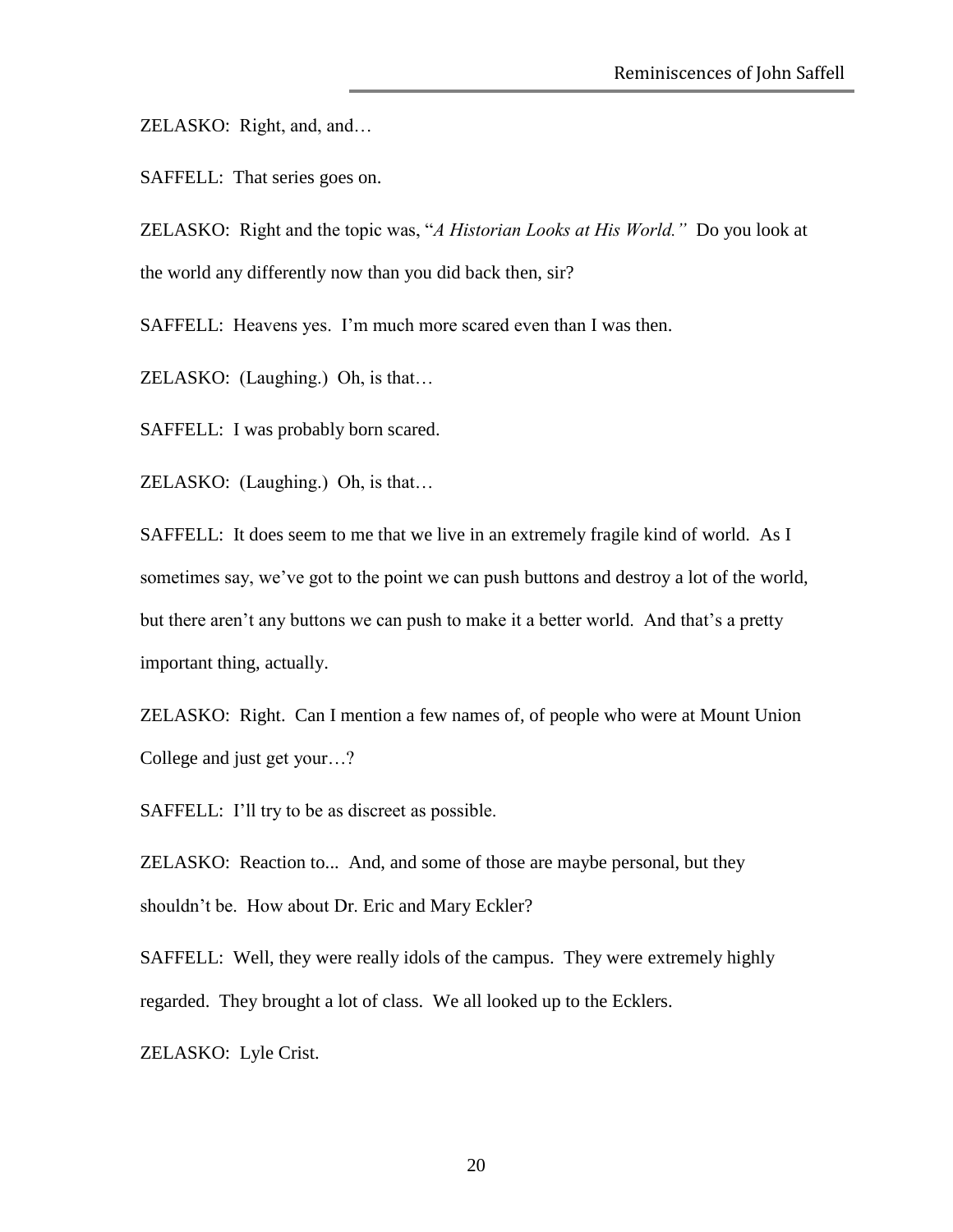ZELASKO: Right, and, and…

SAFFELL: That series goes on.

ZELASKO: Right and the topic was, "*A Historian Looks at His World."* Do you look at the world any differently now than you did back then, sir?

SAFFELL: Heavens yes. I'm much more scared even than I was then.

ZELASKO: (Laughing.) Oh, is that…

SAFFELL: I was probably born scared.

ZELASKO: (Laughing.) Oh, is that…

SAFFELL: It does seem to me that we live in an extremely fragile kind of world. As I sometimes say, we've got to the point we can push buttons and destroy a lot of the world, but there aren't any buttons we can push to make it a better world. And that's a pretty important thing, actually.

ZELASKO: Right. Can I mention a few names of, of people who were at Mount Union College and just get your…?

SAFFELL: I'll try to be as discreet as possible.

ZELASKO: Reaction to... And, and some of those are maybe personal, but they shouldn't be. How about Dr. Eric and Mary Eckler?

SAFFELL: Well, they were really idols of the campus. They were extremely highly regarded. They brought a lot of class. We all looked up to the Ecklers.

ZELASKO: Lyle Crist.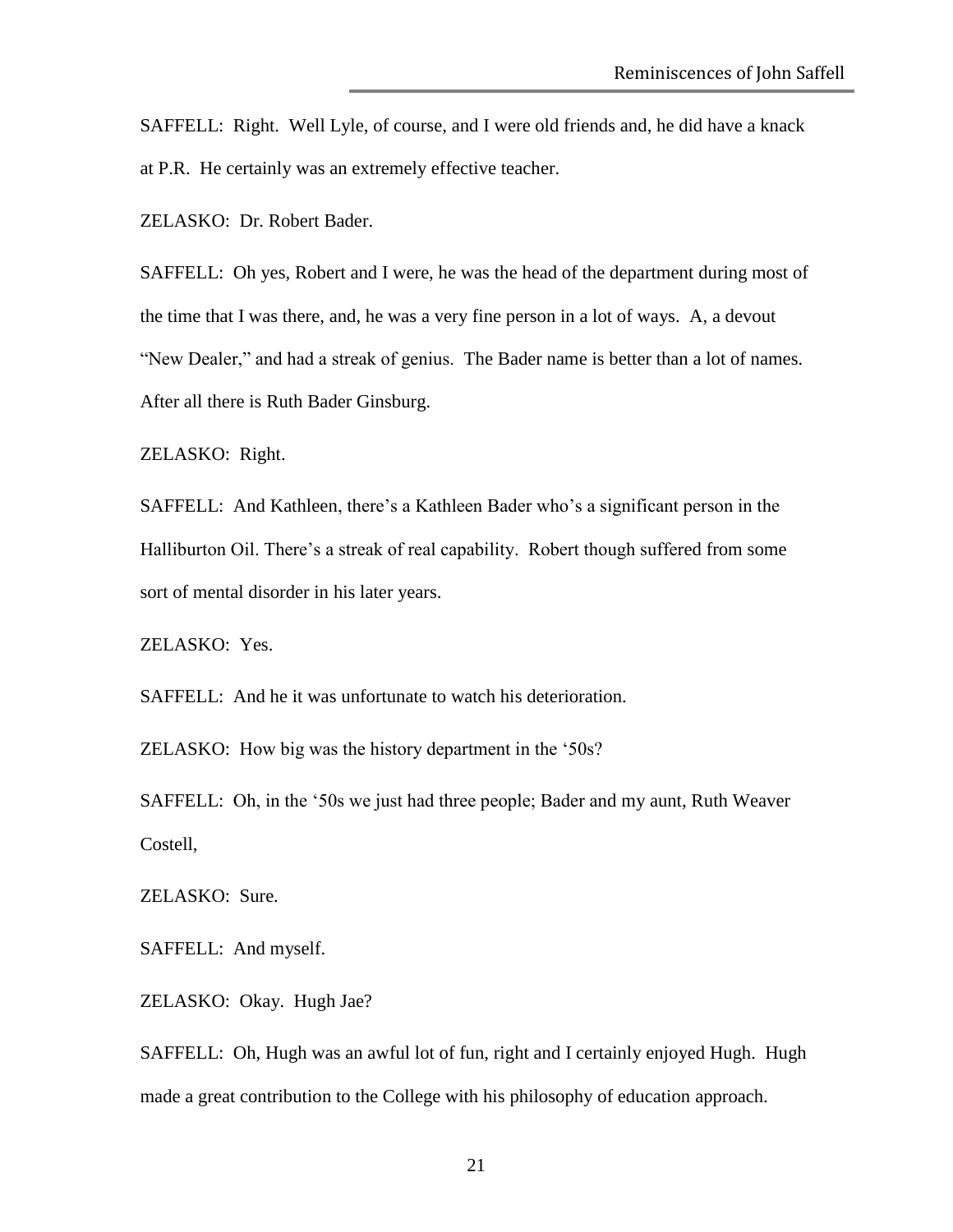SAFFELL: Right. Well Lyle, of course, and I were old friends and, he did have a knack at P.R. He certainly was an extremely effective teacher.

ZELASKO: Dr. Robert Bader.

SAFFELL: Oh yes, Robert and I were, he was the head of the department during most of the time that I was there, and, he was a very fine person in a lot of ways. A, a devout "New Dealer," and had a streak of genius. The Bader name is better than a lot of names. After all there is Ruth Bader Ginsburg.

ZELASKO: Right.

SAFFELL: And Kathleen, there's a Kathleen Bader who's a significant person in the Halliburton Oil. There's a streak of real capability. Robert though suffered from some sort of mental disorder in his later years.

ZELASKO: Yes.

SAFFELL: And he it was unfortunate to watch his deterioration.

ZELASKO: How big was the history department in the '50s?

SAFFELL: Oh, in the '50s we just had three people; Bader and my aunt, Ruth Weaver Costell,

ZELASKO: Sure.

SAFFELL: And myself.

ZELASKO: Okay. Hugh Jae?

SAFFELL: Oh, Hugh was an awful lot of fun, right and I certainly enjoyed Hugh. Hugh made a great contribution to the College with his philosophy of education approach.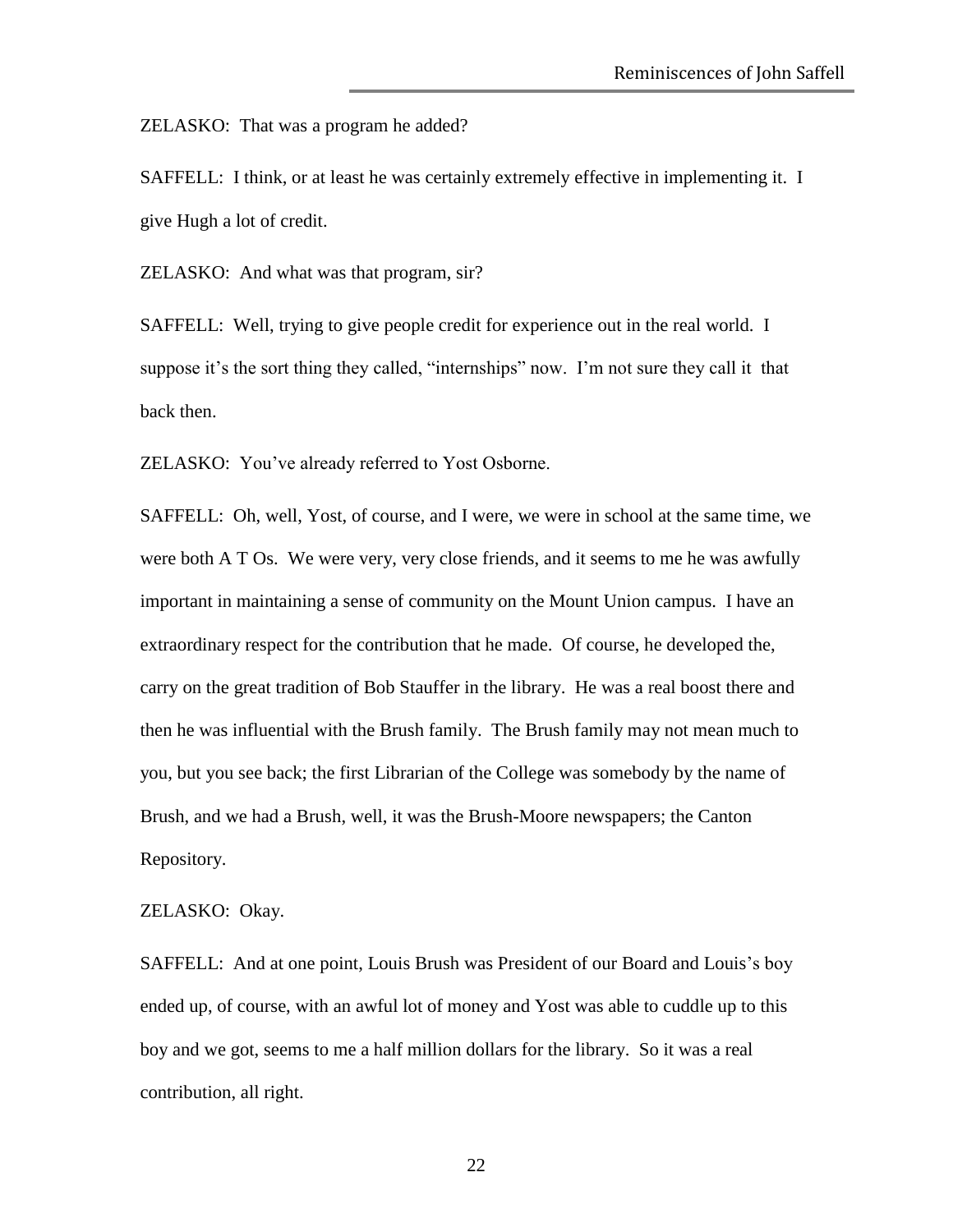ZELASKO: That was a program he added?

SAFFELL: I think, or at least he was certainly extremely effective in implementing it. I give Hugh a lot of credit.

ZELASKO: And what was that program, sir?

SAFFELL: Well, trying to give people credit for experience out in the real world. I suppose it's the sort thing they called, "internships" now. I'm not sure they call it that back then.

ZELASKO: You've already referred to Yost Osborne.

SAFFELL: Oh, well, Yost, of course, and I were, we were in school at the same time, we were both A T Os. We were very, very close friends, and it seems to me he was awfully important in maintaining a sense of community on the Mount Union campus. I have an extraordinary respect for the contribution that he made. Of course, he developed the, carry on the great tradition of Bob Stauffer in the library. He was a real boost there and then he was influential with the Brush family. The Brush family may not mean much to you, but you see back; the first Librarian of the College was somebody by the name of Brush, and we had a Brush, well, it was the Brush-Moore newspapers; the Canton Repository.

ZELASKO: Okay.

SAFFELL: And at one point, Louis Brush was President of our Board and Louis's boy ended up, of course, with an awful lot of money and Yost was able to cuddle up to this boy and we got, seems to me a half million dollars for the library. So it was a real contribution, all right.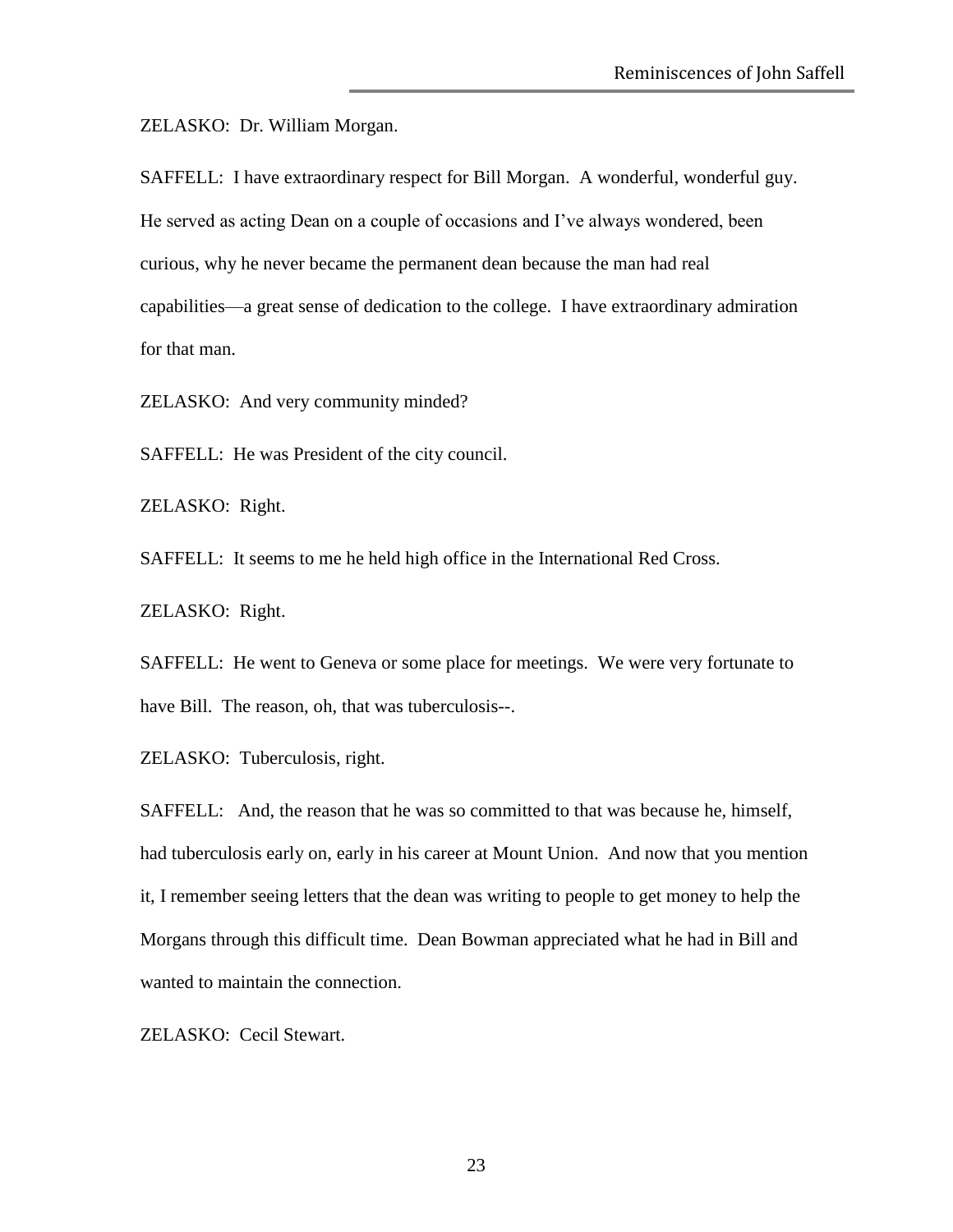ZELASKO: Dr. William Morgan.

SAFFELL: I have extraordinary respect for Bill Morgan. A wonderful, wonderful guy. He served as acting Dean on a couple of occasions and I've always wondered, been curious, why he never became the permanent dean because the man had real capabilities—a great sense of dedication to the college. I have extraordinary admiration for that man.

ZELASKO: And very community minded?

SAFFELL: He was President of the city council.

ZELASKO: Right.

SAFFELL: It seems to me he held high office in the International Red Cross.

ZELASKO: Right.

SAFFELL: He went to Geneva or some place for meetings. We were very fortunate to have Bill. The reason, oh, that was tuberculosis--.

ZELASKO: Tuberculosis, right.

SAFFELL: And, the reason that he was so committed to that was because he, himself, had tuberculosis early on, early in his career at Mount Union. And now that you mention it, I remember seeing letters that the dean was writing to people to get money to help the Morgans through this difficult time. Dean Bowman appreciated what he had in Bill and wanted to maintain the connection.

ZELASKO: Cecil Stewart.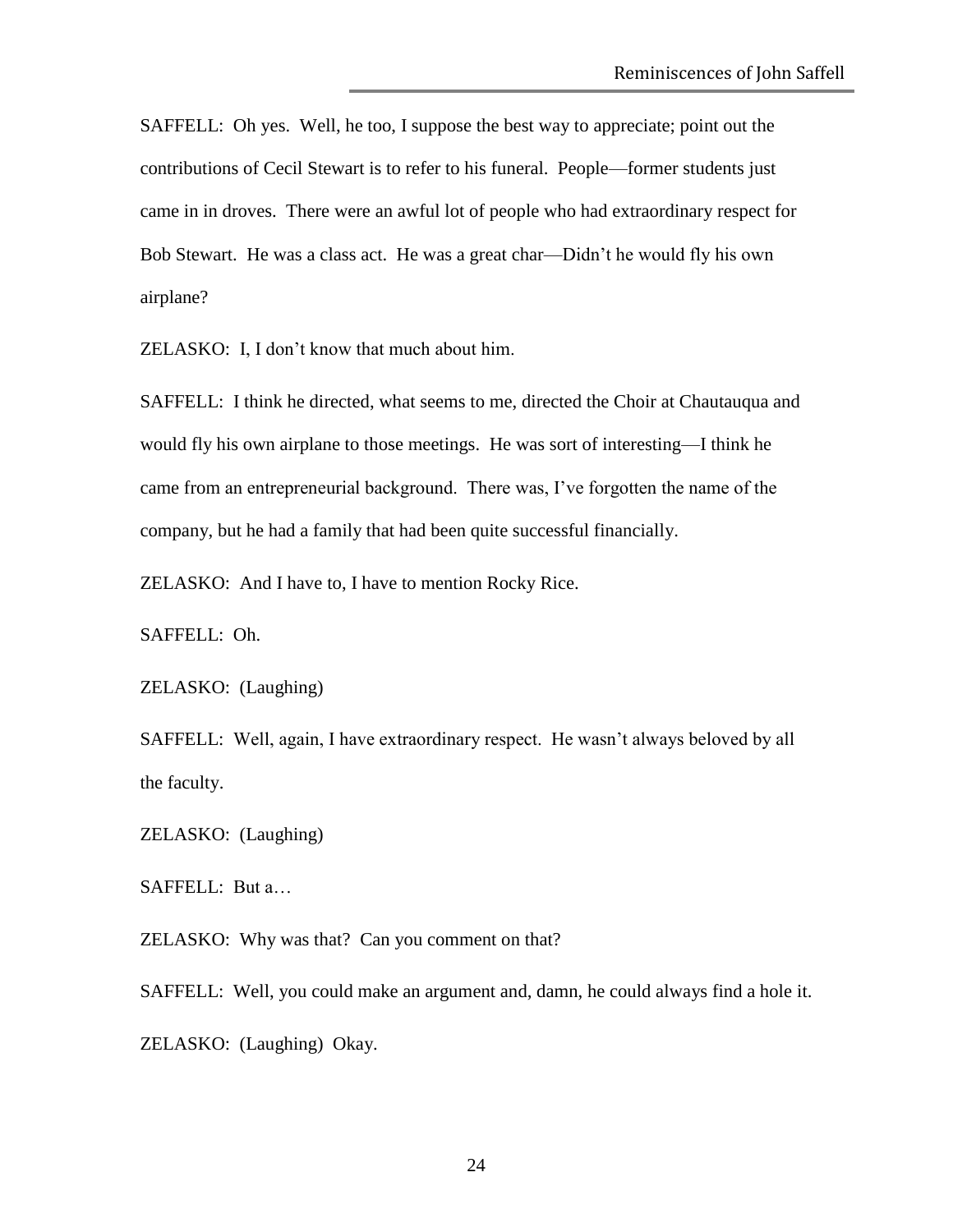SAFFELL: Oh yes. Well, he too, I suppose the best way to appreciate; point out the contributions of Cecil Stewart is to refer to his funeral. People—former students just came in in droves. There were an awful lot of people who had extraordinary respect for Bob Stewart. He was a class act. He was a great char—Didn't he would fly his own airplane?

ZELASKO: I, I don't know that much about him.

SAFFELL: I think he directed, what seems to me, directed the Choir at Chautauqua and would fly his own airplane to those meetings. He was sort of interesting—I think he came from an entrepreneurial background. There was, I've forgotten the name of the company, but he had a family that had been quite successful financially.

ZELASKO: And I have to, I have to mention Rocky Rice.

SAFFELL: Oh.

ZELASKO: (Laughing)

SAFFELL: Well, again, I have extraordinary respect. He wasn't always beloved by all the faculty.

ZELASKO: (Laughing)

SAFFELL: But a…

ZELASKO: Why was that? Can you comment on that?

SAFFELL: Well, you could make an argument and, damn, he could always find a hole it. ZELASKO: (Laughing) Okay.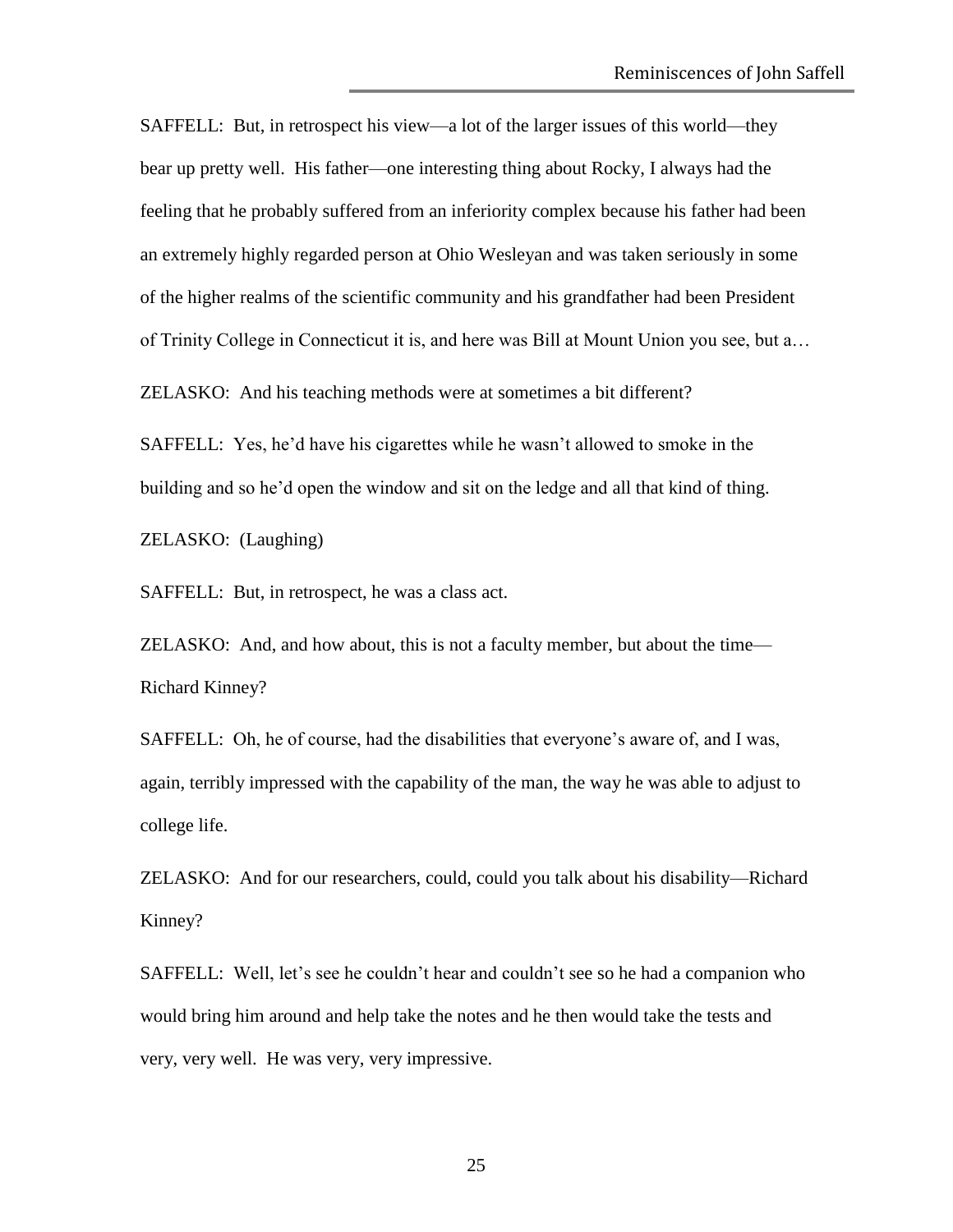SAFFELL: But, in retrospect his view—a lot of the larger issues of this world—they bear up pretty well. His father—one interesting thing about Rocky, I always had the feeling that he probably suffered from an inferiority complex because his father had been an extremely highly regarded person at Ohio Wesleyan and was taken seriously in some of the higher realms of the scientific community and his grandfather had been President of Trinity College in Connecticut it is, and here was Bill at Mount Union you see, but a…

ZELASKO: And his teaching methods were at sometimes a bit different?

SAFFELL: Yes, he'd have his cigarettes while he wasn't allowed to smoke in the building and so he'd open the window and sit on the ledge and all that kind of thing.

ZELASKO: (Laughing)

SAFFELL: But, in retrospect, he was a class act.

ZELASKO: And, and how about, this is not a faculty member, but about the time— Richard Kinney?

SAFFELL: Oh, he of course, had the disabilities that everyone's aware of, and I was, again, terribly impressed with the capability of the man, the way he was able to adjust to college life.

ZELASKO: And for our researchers, could, could you talk about his disability—Richard Kinney?

SAFFELL: Well, let's see he couldn't hear and couldn't see so he had a companion who would bring him around and help take the notes and he then would take the tests and very, very well. He was very, very impressive.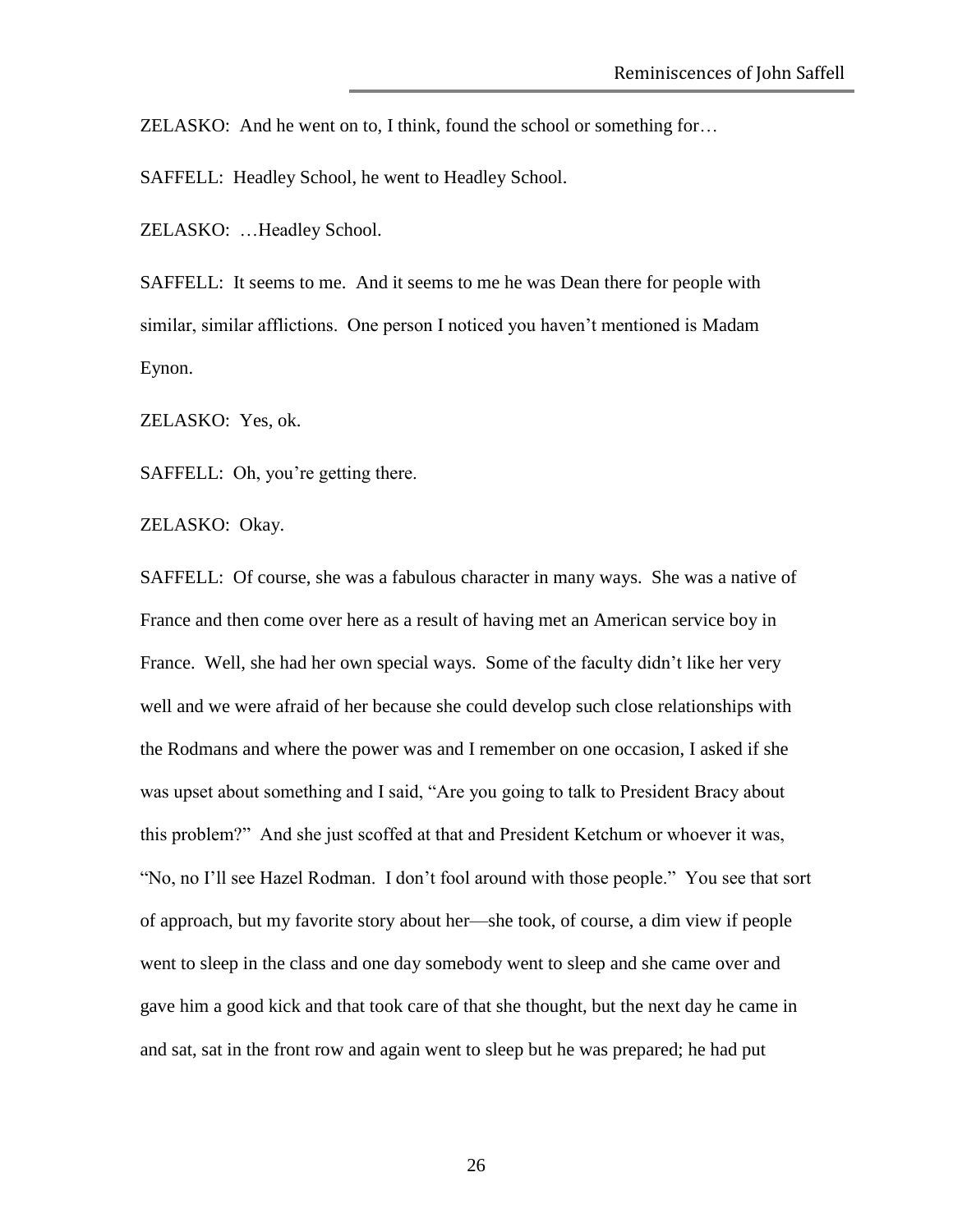ZELASKO: And he went on to, I think, found the school or something for…

SAFFELL: Headley School, he went to Headley School.

ZELASKO: …Headley School.

SAFFELL: It seems to me. And it seems to me he was Dean there for people with similar, similar afflictions. One person I noticed you haven't mentioned is Madam Eynon.

ZELASKO: Yes, ok.

SAFFELL: Oh, you're getting there.

ZELASKO: Okay.

SAFFELL: Of course, she was a fabulous character in many ways. She was a native of France and then come over here as a result of having met an American service boy in France. Well, she had her own special ways. Some of the faculty didn't like her very well and we were afraid of her because she could develop such close relationships with the Rodmans and where the power was and I remember on one occasion, I asked if she was upset about something and I said, "Are you going to talk to President Bracy about this problem?" And she just scoffed at that and President Ketchum or whoever it was, "No, no I'll see Hazel Rodman. I don't fool around with those people." You see that sort of approach, but my favorite story about her—she took, of course, a dim view if people went to sleep in the class and one day somebody went to sleep and she came over and gave him a good kick and that took care of that she thought, but the next day he came in and sat, sat in the front row and again went to sleep but he was prepared; he had put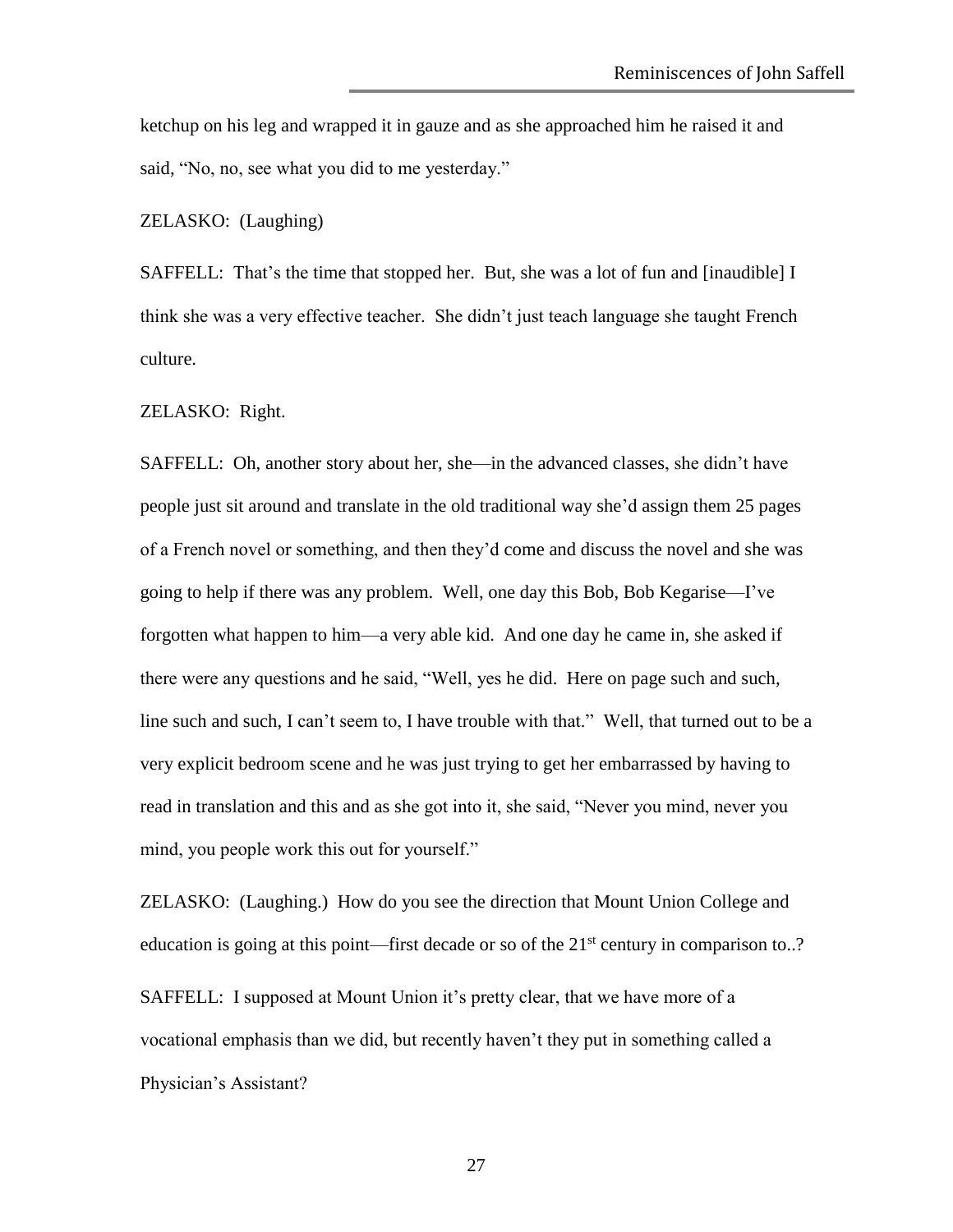ketchup on his leg and wrapped it in gauze and as she approached him he raised it and said, "No, no, see what you did to me yesterday."

ZELASKO: (Laughing)

SAFFELL: That's the time that stopped her. But, she was a lot of fun and [inaudible] I think she was a very effective teacher. She didn't just teach language she taught French culture.

ZELASKO: Right.

SAFFELL: Oh, another story about her, she—in the advanced classes, she didn't have people just sit around and translate in the old traditional way she'd assign them 25 pages of a French novel or something, and then they'd come and discuss the novel and she was going to help if there was any problem. Well, one day this Bob, Bob Kegarise—I've forgotten what happen to him—a very able kid. And one day he came in, she asked if there were any questions and he said, "Well, yes he did. Here on page such and such, line such and such, I can't seem to, I have trouble with that." Well, that turned out to be a very explicit bedroom scene and he was just trying to get her embarrassed by having to read in translation and this and as she got into it, she said, "Never you mind, never you mind, you people work this out for yourself."

ZELASKO: (Laughing.) How do you see the direction that Mount Union College and education is going at this point—first decade or so of the  $21<sup>st</sup>$  century in comparison to..?

SAFFELL: I supposed at Mount Union it's pretty clear, that we have more of a vocational emphasis than we did, but recently haven't they put in something called a Physician's Assistant?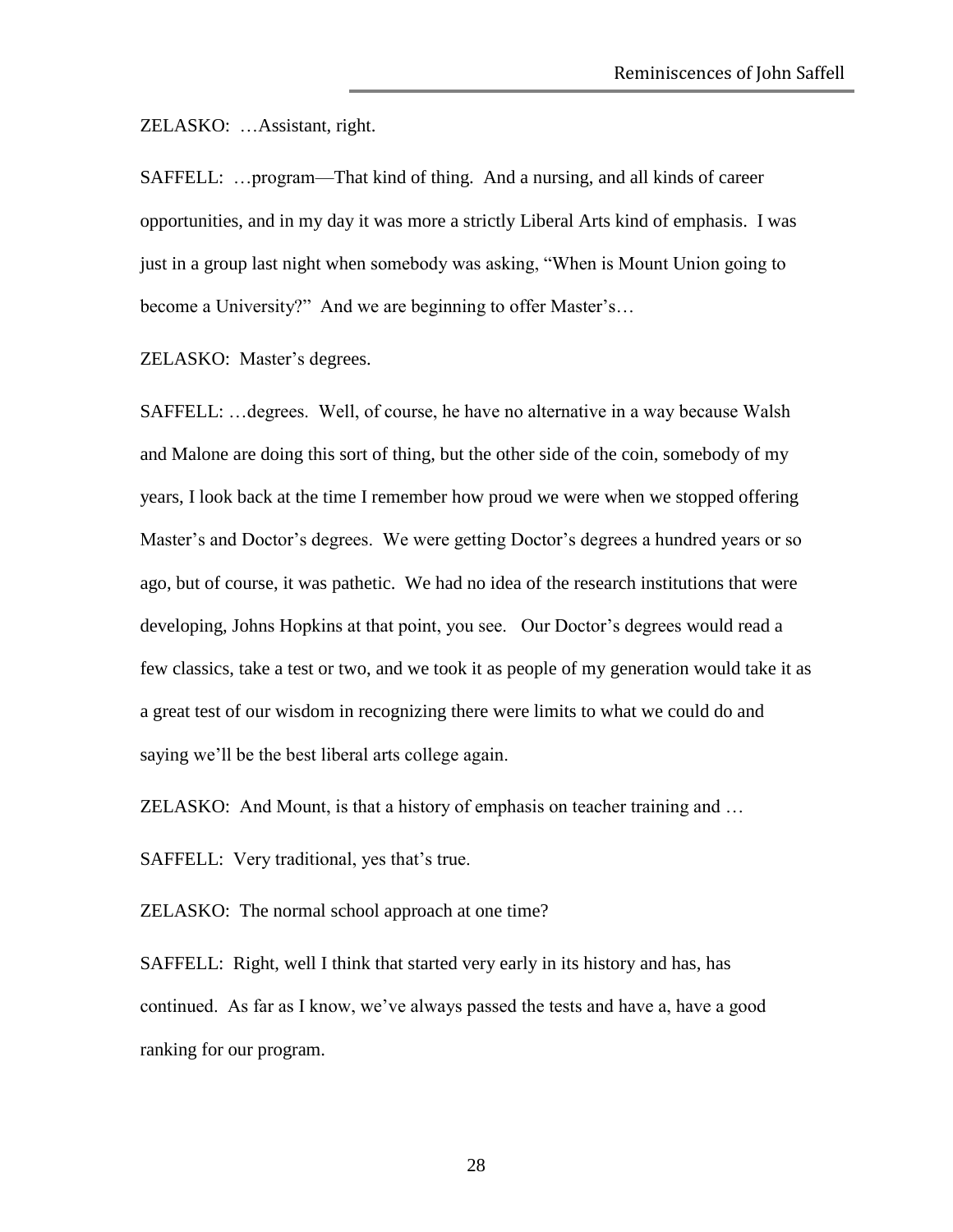ZELASKO: …Assistant, right.

SAFFELL: …program—That kind of thing. And a nursing, and all kinds of career opportunities, and in my day it was more a strictly Liberal Arts kind of emphasis. I was just in a group last night when somebody was asking, "When is Mount Union going to become a University?" And we are beginning to offer Master's…

ZELASKO: Master's degrees.

SAFFELL: …degrees. Well, of course, he have no alternative in a way because Walsh and Malone are doing this sort of thing, but the other side of the coin, somebody of my years, I look back at the time I remember how proud we were when we stopped offering Master's and Doctor's degrees. We were getting Doctor's degrees a hundred years or so ago, but of course, it was pathetic. We had no idea of the research institutions that were developing, Johns Hopkins at that point, you see. Our Doctor's degrees would read a few classics, take a test or two, and we took it as people of my generation would take it as a great test of our wisdom in recognizing there were limits to what we could do and saying we'll be the best liberal arts college again.

ZELASKO: And Mount, is that a history of emphasis on teacher training and …

SAFFELL: Very traditional, yes that's true.

ZELASKO: The normal school approach at one time?

SAFFELL: Right, well I think that started very early in its history and has, has continued. As far as I know, we've always passed the tests and have a, have a good ranking for our program.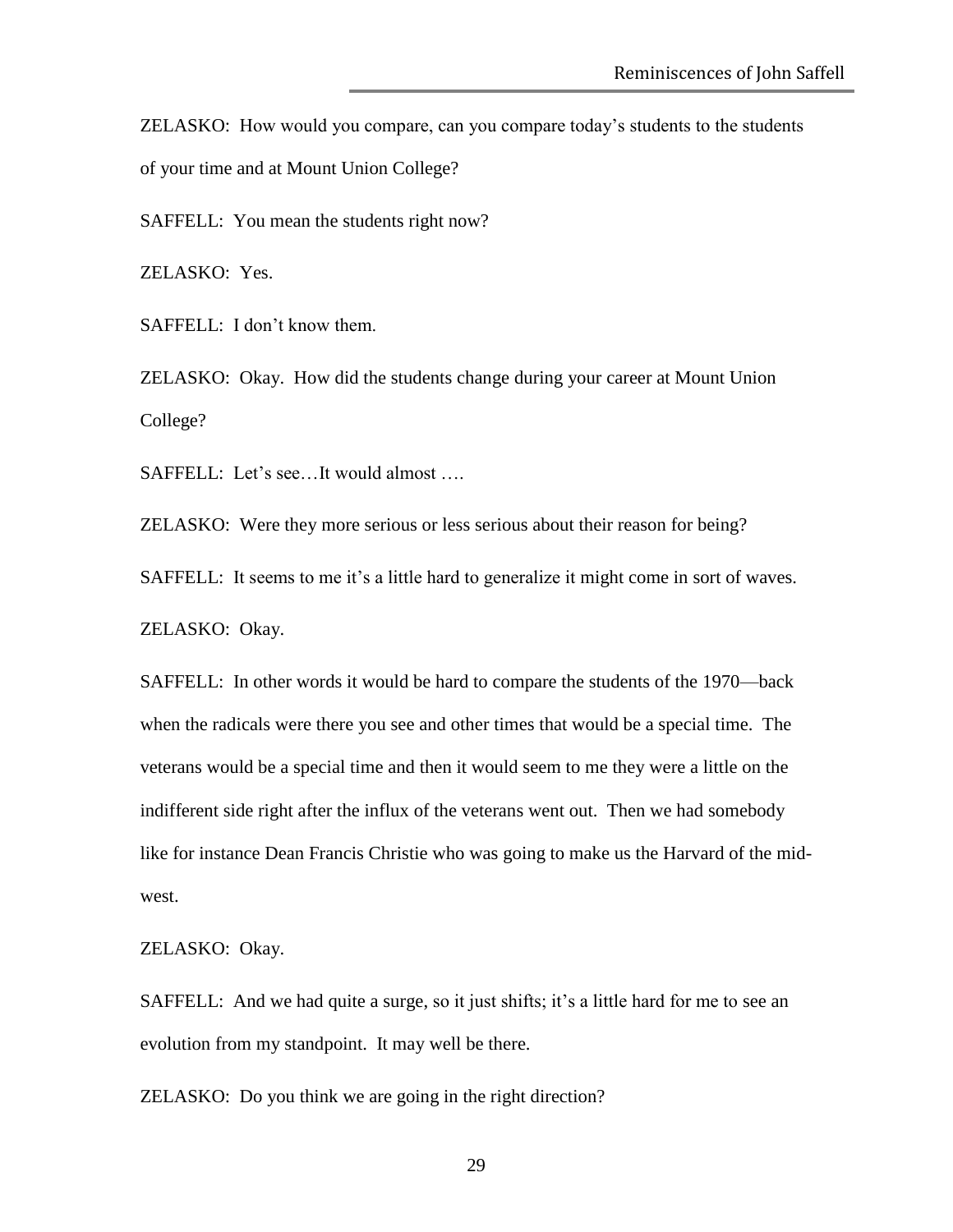ZELASKO: How would you compare, can you compare today's students to the students of your time and at Mount Union College?

SAFFELL: You mean the students right now?

ZELASKO: Yes.

SAFFELL: I don't know them.

ZELASKO: Okay. How did the students change during your career at Mount Union College?

SAFFELL: Let's see...It would almost ....

ZELASKO: Were they more serious or less serious about their reason for being?

SAFFELL: It seems to me it's a little hard to generalize it might come in sort of waves.

ZELASKO: Okay.

SAFFELL: In other words it would be hard to compare the students of the 1970—back when the radicals were there you see and other times that would be a special time. The veterans would be a special time and then it would seem to me they were a little on the indifferent side right after the influx of the veterans went out. Then we had somebody like for instance Dean Francis Christie who was going to make us the Harvard of the midwest.

ZELASKO: Okay.

SAFFELL: And we had quite a surge, so it just shifts; it's a little hard for me to see an evolution from my standpoint. It may well be there.

ZELASKO: Do you think we are going in the right direction?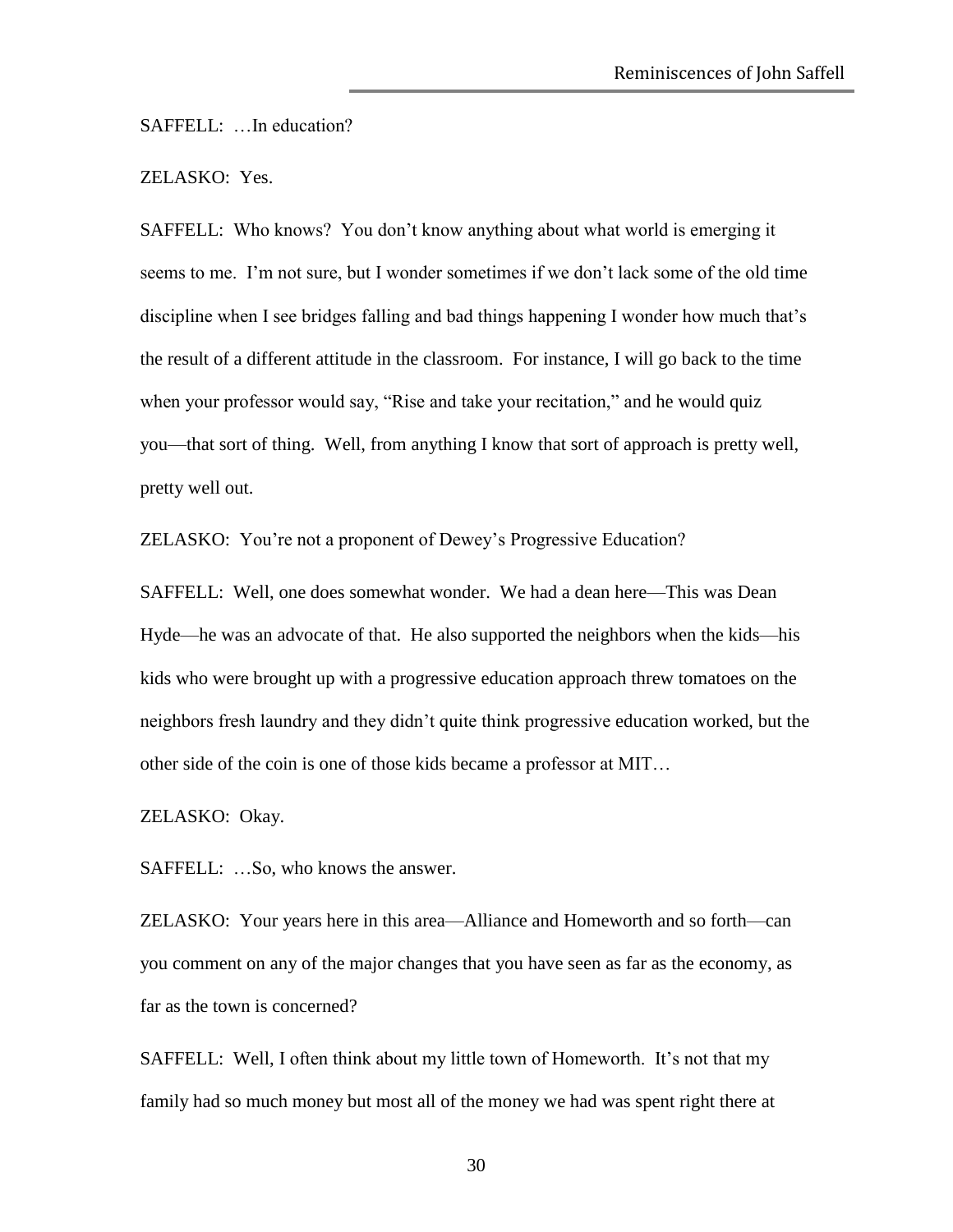SAFFELL: …In education?

#### ZELASKO: Yes.

SAFFELL: Who knows? You don't know anything about what world is emerging it seems to me. I'm not sure, but I wonder sometimes if we don't lack some of the old time discipline when I see bridges falling and bad things happening I wonder how much that's the result of a different attitude in the classroom. For instance, I will go back to the time when your professor would say, "Rise and take your recitation," and he would quiz you—that sort of thing. Well, from anything I know that sort of approach is pretty well, pretty well out.

ZELASKO: You're not a proponent of Dewey's Progressive Education?

SAFFELL: Well, one does somewhat wonder. We had a dean here—This was Dean Hyde—he was an advocate of that. He also supported the neighbors when the kids—his kids who were brought up with a progressive education approach threw tomatoes on the neighbors fresh laundry and they didn't quite think progressive education worked, but the other side of the coin is one of those kids became a professor at MIT…

ZELASKO: Okay.

SAFFELL: …So, who knows the answer.

ZELASKO: Your years here in this area—Alliance and Homeworth and so forth—can you comment on any of the major changes that you have seen as far as the economy, as far as the town is concerned?

SAFFELL: Well, I often think about my little town of Homeworth. It's not that my family had so much money but most all of the money we had was spent right there at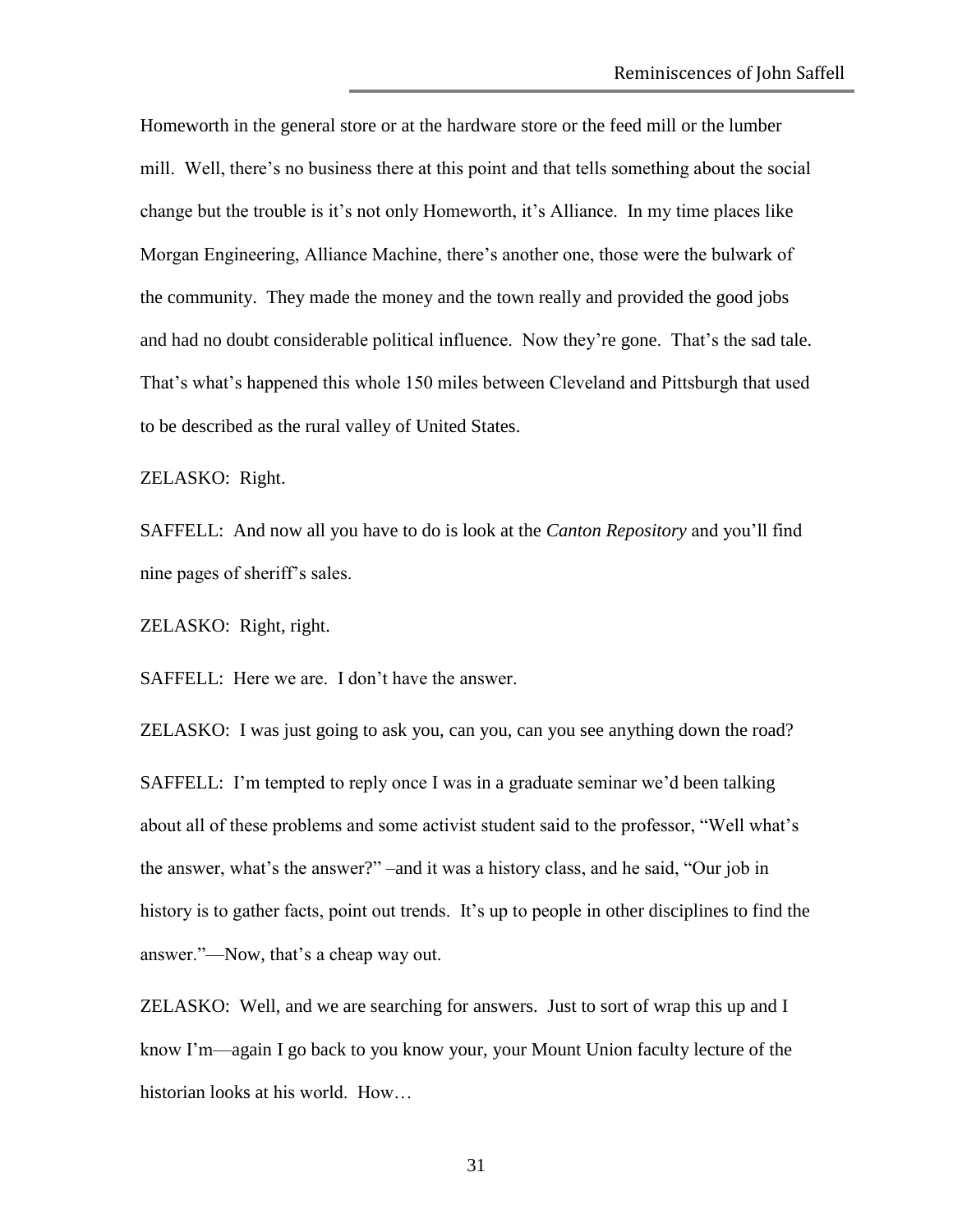Homeworth in the general store or at the hardware store or the feed mill or the lumber mill. Well, there's no business there at this point and that tells something about the social change but the trouble is it's not only Homeworth, it's Alliance. In my time places like Morgan Engineering, Alliance Machine, there's another one, those were the bulwark of the community. They made the money and the town really and provided the good jobs and had no doubt considerable political influence. Now they're gone. That's the sad tale. That's what's happened this whole 150 miles between Cleveland and Pittsburgh that used to be described as the rural valley of United States.

ZELASKO: Right.

SAFFELL: And now all you have to do is look at the *Canton Repository* and you'll find nine pages of sheriff's sales.

ZELASKO: Right, right.

SAFFELL: Here we are. I don't have the answer.

ZELASKO: I was just going to ask you, can you, can you see anything down the road? SAFFELL: I'm tempted to reply once I was in a graduate seminar we'd been talking about all of these problems and some activist student said to the professor, "Well what's the answer, what's the answer?" –and it was a history class, and he said, "Our job in history is to gather facts, point out trends. It's up to people in other disciplines to find the answer."—Now, that's a cheap way out.

ZELASKO: Well, and we are searching for answers. Just to sort of wrap this up and I know I'm—again I go back to you know your, your Mount Union faculty lecture of the historian looks at his world. How…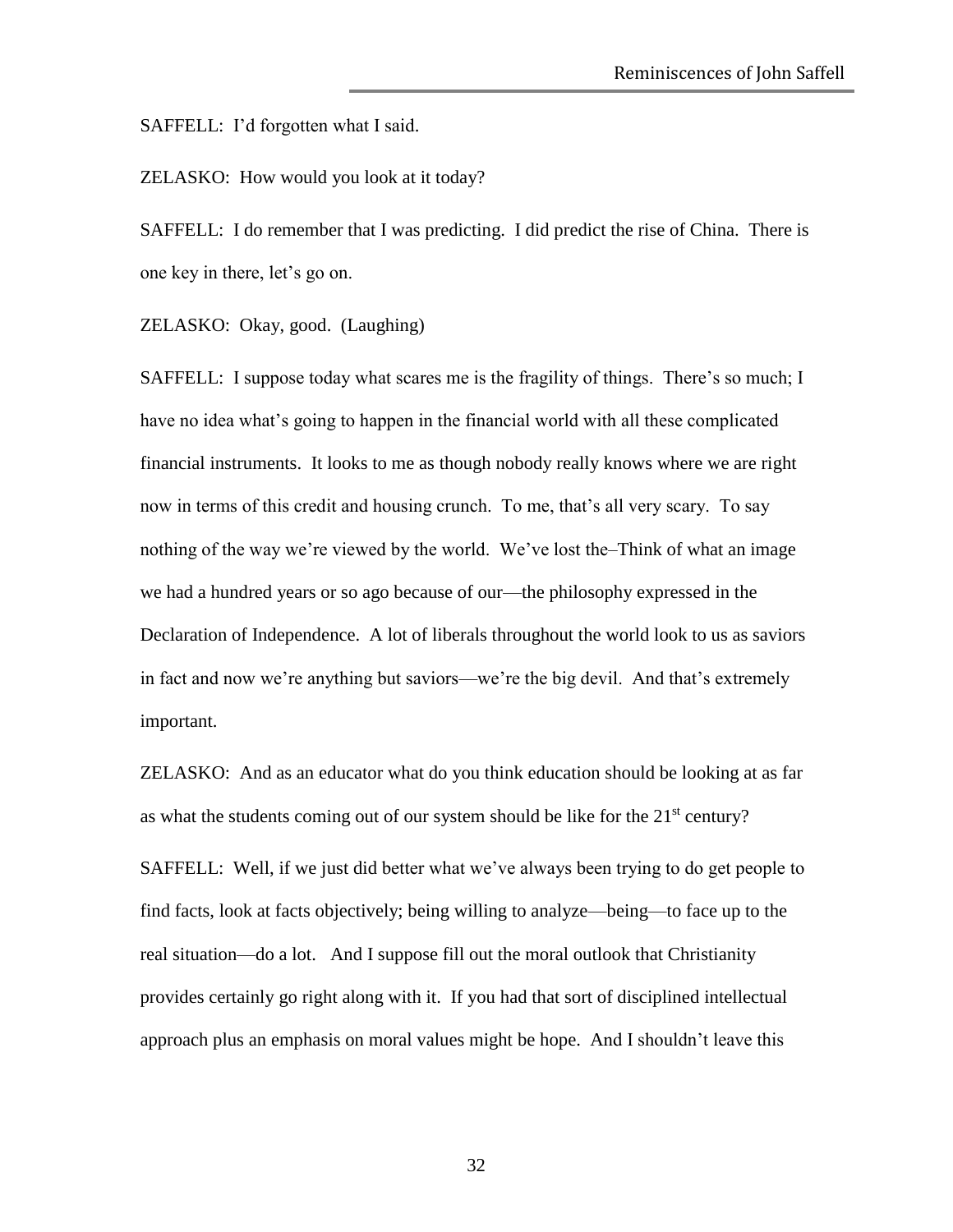SAFFELL: I'd forgotten what I said.

ZELASKO: How would you look at it today?

SAFFELL: I do remember that I was predicting. I did predict the rise of China. There is one key in there, let's go on.

ZELASKO: Okay, good. (Laughing)

SAFFELL: I suppose today what scares me is the fragility of things. There's so much; I have no idea what's going to happen in the financial world with all these complicated financial instruments. It looks to me as though nobody really knows where we are right now in terms of this credit and housing crunch. To me, that's all very scary. To say nothing of the way we're viewed by the world. We've lost the–Think of what an image we had a hundred years or so ago because of our—the philosophy expressed in the Declaration of Independence. A lot of liberals throughout the world look to us as saviors in fact and now we're anything but saviors—we're the big devil. And that's extremely important.

ZELASKO: And as an educator what do you think education should be looking at as far as what the students coming out of our system should be like for the  $21<sup>st</sup>$  century?

SAFFELL: Well, if we just did better what we've always been trying to do get people to find facts, look at facts objectively; being willing to analyze—being—to face up to the real situation—do a lot. And I suppose fill out the moral outlook that Christianity provides certainly go right along with it. If you had that sort of disciplined intellectual approach plus an emphasis on moral values might be hope. And I shouldn't leave this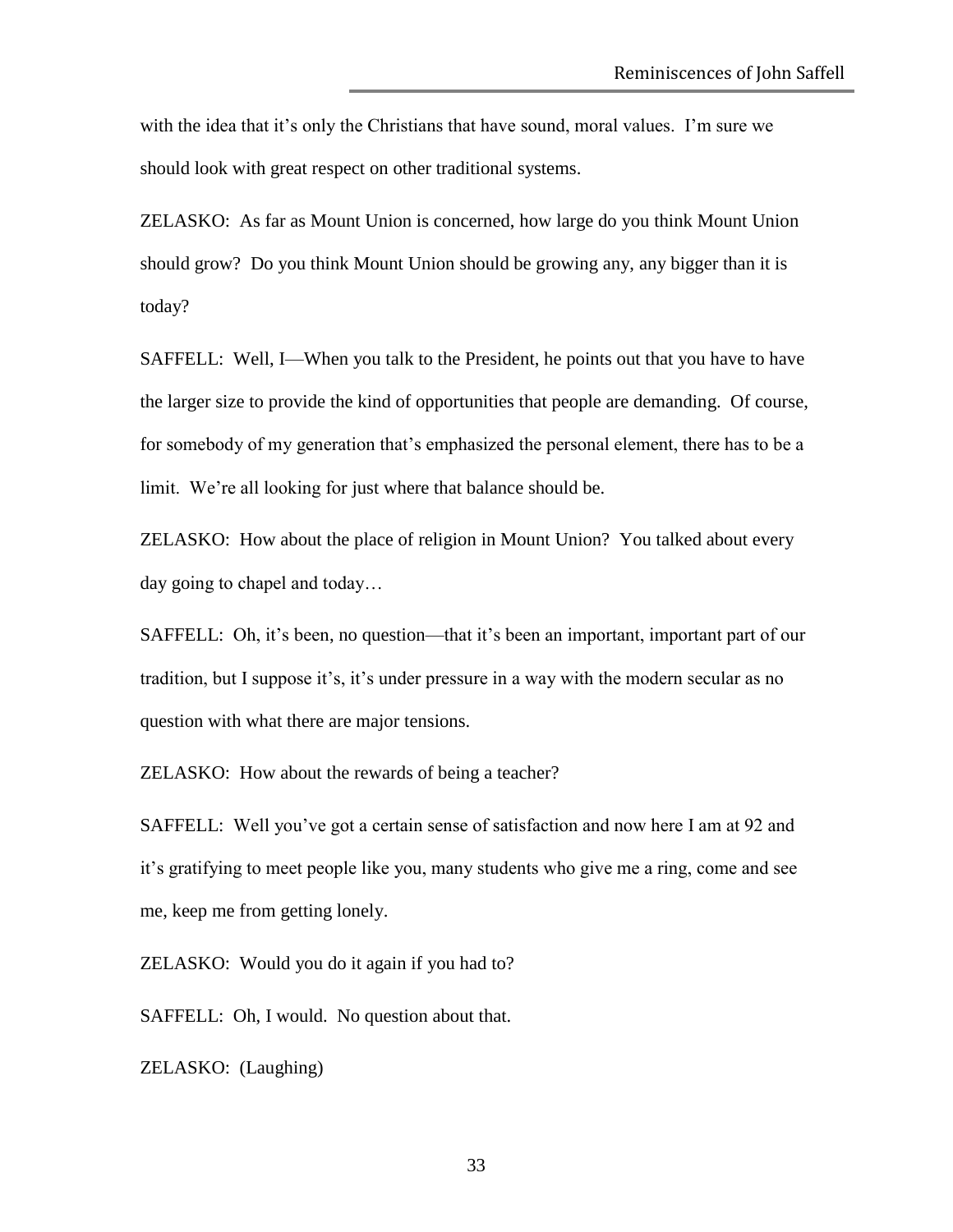with the idea that it's only the Christians that have sound, moral values. I'm sure we should look with great respect on other traditional systems.

ZELASKO: As far as Mount Union is concerned, how large do you think Mount Union should grow? Do you think Mount Union should be growing any, any bigger than it is today?

SAFFELL: Well, I—When you talk to the President, he points out that you have to have the larger size to provide the kind of opportunities that people are demanding. Of course, for somebody of my generation that's emphasized the personal element, there has to be a limit. We're all looking for just where that balance should be.

ZELASKO: How about the place of religion in Mount Union? You talked about every day going to chapel and today…

SAFFELL: Oh, it's been, no question—that it's been an important, important part of our tradition, but I suppose it's, it's under pressure in a way with the modern secular as no question with what there are major tensions.

ZELASKO: How about the rewards of being a teacher?

SAFFELL: Well you've got a certain sense of satisfaction and now here I am at 92 and it's gratifying to meet people like you, many students who give me a ring, come and see me, keep me from getting lonely.

ZELASKO: Would you do it again if you had to?

SAFFELL: Oh, I would. No question about that.

ZELASKO: (Laughing)